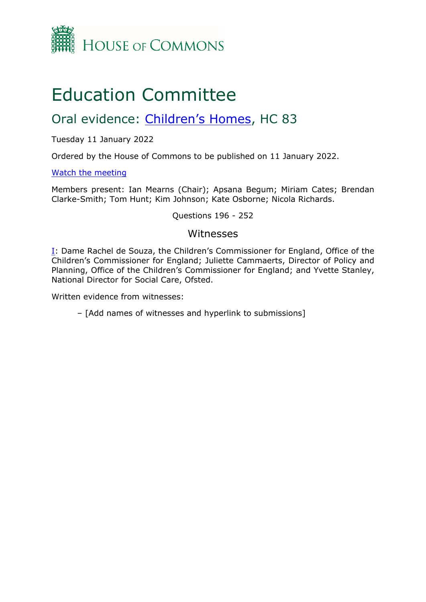

## Education Committee

## Oral evidence: [Children's](https://committees.parliament.uk/work/1111/childrens-homes/) [Homes](https://committees.parliament.uk/work/1111/childrens-homes/), HC 83

Tuesday 11 January 2022

Ordered by the House of Commons to be published on 11 January 2022.

[Watch](https://parliamentlive.tv/Event/Index/b6be6126-4d5f-4731-80c6-41403b533278) [the](https://parliamentlive.tv/Event/Index/b6be6126-4d5f-4731-80c6-41403b533278) [meeting](https://parliamentlive.tv/Event/Index/b6be6126-4d5f-4731-80c6-41403b533278)

Members present: Ian Mearns (Chair); Apsana Begum; Miriam Cates; Brendan Clarke-Smith; Tom Hunt; Kim Johnson; Kate Osborne; Nicola Richards.

Questions 196 - 252

## Witnesses

[I:](#page-1-0) Dame Rachel de Souza, the Children's Commissioner for England, Office of the Children's Commissioner for England; Juliette Cammaerts, Director of Policy and Planning, Office of the Children's Commissioner for England; and Yvette Stanley, National Director for Social Care, Ofsted.

Written evidence from witnesses:

– [Add names of witnesses and hyperlink to submissions]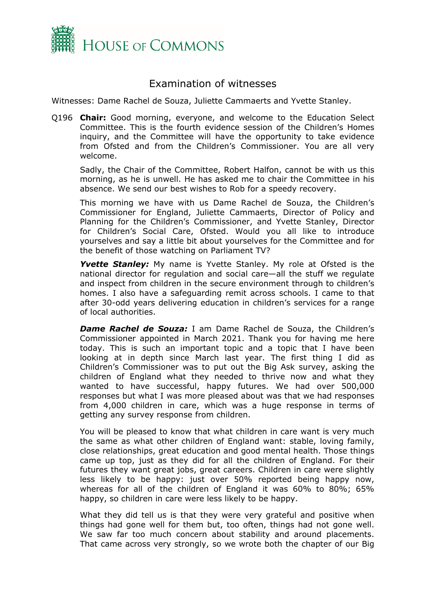

## <span id="page-1-0"></span>Examination of witnesses

Witnesses: Dame Rachel de Souza, Juliette Cammaerts and Yvette Stanley.

Q196 **Chair:** Good morning, everyone, and welcome to the Education Select Committee. This is the fourth evidence session of the Children's Homes inquiry, and the Committee will have the opportunity to take evidence from Ofsted and from the Children's Commissioner. You are all very welcome.

Sadly, the Chair of the Committee, Robert Halfon, cannot be with us this morning, as he is unwell. He has asked me to chair the Committee in his absence. We send our best wishes to Rob for a speedy recovery.

This morning we have with us Dame Rachel de Souza, the Children's Commissioner for England, Juliette Cammaerts, Director of Policy and Planning for the Children's Commissioner, and Yvette Stanley, Director for Children's Social Care, Ofsted. Would you all like to introduce yourselves and say a little bit about yourselves for the Committee and for the benefit of those watching on Parliament TV?

**Yvette Stanley:** My name is Yvette Stanley. My role at Ofsted is the national director for regulation and social care—all the stuff we regulate and inspect from children in the secure environment through to children's homes. I also have a safeguarding remit across schools. I came to that after 30-odd years delivering education in children's services for a range of local authorities.

*Dame Rachel de Souza:* I am Dame Rachel de Souza, the Children's Commissioner appointed in March 2021. Thank you for having me here today. This is such an important topic and a topic that I have been looking at in depth since March last year. The first thing I did as Children's Commissioner was to put out the Big Ask survey, asking the children of England what they needed to thrive now and what they wanted to have successful, happy futures. We had over 500,000 responses but what I was more pleased about was that we had responses from 4,000 children in care, which was a huge response in terms of getting any survey response from children.

You will be pleased to know that what children in care want is very much the same as what other children of England want: stable, loving family, close relationships, great education and good mental health. Those things came up top, just as they did for all the children of England. For their futures they want great jobs, great careers. Children in care were slightly less likely to be happy: just over 50% reported being happy now, whereas for all of the children of England it was 60% to 80%; 65% happy, so children in care were less likely to be happy.

What they did tell us is that they were very grateful and positive when things had gone well for them but, too often, things had not gone well. We saw far too much concern about stability and around placements. That came across very strongly, so we wrote both the chapter of our Big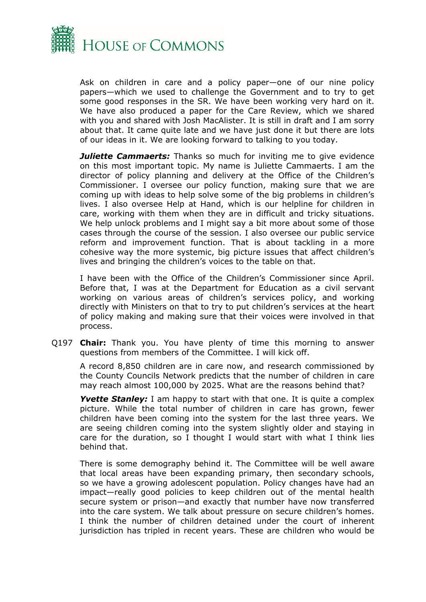

Ask on children in care and a policy paper—one of our nine policy papers—which we used to challenge the Government and to try to get some good responses in the SR. We have been working very hard on it. We have also produced a paper for the Care Review, which we shared with you and shared with Josh MacAlister. It is still in draft and I am sorry about that. It came quite late and we have just done it but there are lots of our ideas in it. We are looking forward to talking to you today.

*Juliette Cammaerts:* Thanks so much for inviting me to give evidence on this most important topic. My name is Juliette Cammaerts. I am the director of policy planning and delivery at the Office of the Children's Commissioner. I oversee our policy function, making sure that we are coming up with ideas to help solve some of the big problems in children's lives. I also oversee Help at Hand, which is our helpline for children in care, working with them when they are in difficult and tricky situations. We help unlock problems and I might say a bit more about some of those cases through the course of the session. I also oversee our public service reform and improvement function. That is about tackling in a more cohesive way the more systemic, big picture issues that affect children's lives and bringing the children's voices to the table on that.

I have been with the Office of the Children's Commissioner since April. Before that, I was at the Department for Education as a civil servant working on various areas of children's services policy, and working directly with Ministers on that to try to put children's services at the heart of policy making and making sure that their voices were involved in that process.

Q197 **Chair:** Thank you. You have plenty of time this morning to answer questions from members of the Committee. I will kick off.

A record 8,850 children are in care now, and research commissioned by the County Councils Network predicts that the number of children in care may reach almost 100,000 by 2025. What are the reasons behind that?

**Yvette Stanley:** I am happy to start with that one. It is quite a complex picture. While the total number of children in care has grown, fewer children have been coming into the system for the last three years. We are seeing children coming into the system slightly older and staying in care for the duration, so I thought I would start with what I think lies behind that.

There is some demography behind it. The Committee will be well aware that local areas have been expanding primary, then secondary schools, so we have a growing adolescent population. Policy changes have had an impact—really good policies to keep children out of the mental health secure system or prison—and exactly that number have now transferred into the care system. We talk about pressure on secure children's homes. I think the number of children detained under the court of inherent jurisdiction has tripled in recent years. These are children who would be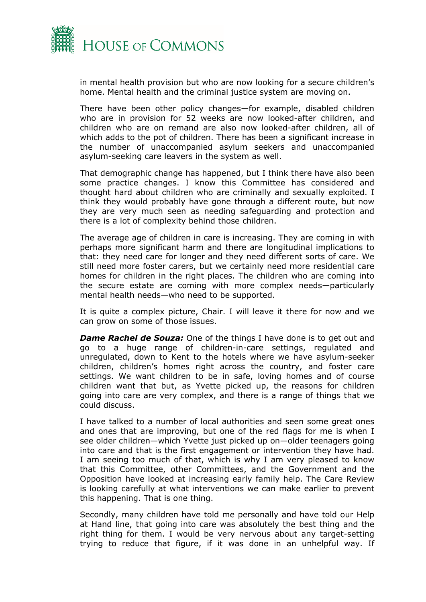

in mental health provision but who are now looking for a secure children's home. Mental health and the criminal justice system are moving on.

There have been other policy changes—for example, disabled children who are in provision for 52 weeks are now looked-after children, and children who are on remand are also now looked-after children, all of which adds to the pot of children. There has been a significant increase in the number of unaccompanied asylum seekers and unaccompanied asylum-seeking care leavers in the system as well.

That demographic change has happened, but I think there have also been some practice changes. I know this Committee has considered and thought hard about children who are criminally and sexually exploited. I think they would probably have gone through a different route, but now they are very much seen as needing safeguarding and protection and there is a lot of complexity behind those children.

The average age of children in care is increasing. They are coming in with perhaps more significant harm and there are longitudinal implications to that: they need care for longer and they need different sorts of care. We still need more foster carers, but we certainly need more residential care homes for children in the right places. The children who are coming into the secure estate are coming with more complex needs—particularly mental health needs—who need to be supported.

It is quite a complex picture, Chair. I will leave it there for now and we can grow on some of those issues.

**Dame Rachel de Souza:** One of the things I have done is to get out and go to a huge range of children-in-care settings, regulated and unregulated, down to Kent to the hotels where we have asylum-seeker children, children's homes right across the country, and foster care settings. We want children to be in safe, loving homes and of course children want that but, as Yvette picked up, the reasons for children going into care are very complex, and there is a range of things that we could discuss.

I have talked to a number of local authorities and seen some great ones and ones that are improving, but one of the red flags for me is when I see older children—which Yvette just picked up on—older teenagers going into care and that is the first engagement or intervention they have had. I am seeing too much of that, which is why I am very pleased to know that this Committee, other Committees, and the Government and the Opposition have looked at increasing early family help. The Care Review is looking carefully at what interventions we can make earlier to prevent this happening. That is one thing.

Secondly, many children have told me personally and have told our Help at Hand line, that going into care was absolutely the best thing and the right thing for them. I would be very nervous about any target-setting trying to reduce that figure, if it was done in an unhelpful way. If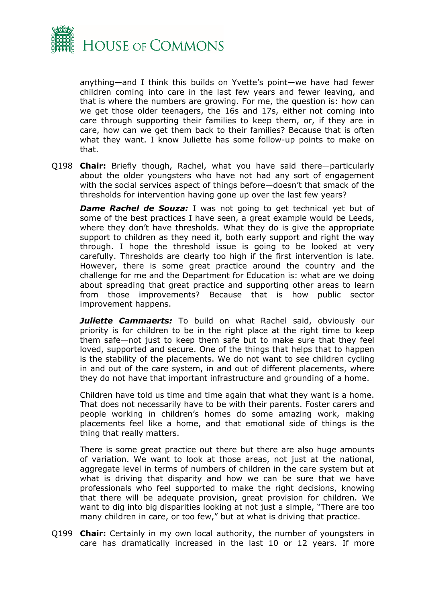

anything—and I think this builds on Yvette's point—we have had fewer children coming into care in the last few years and fewer leaving, and that is where the numbers are growing. For me, the question is: how can we get those older teenagers, the 16s and 17s, either not coming into care through supporting their families to keep them, or, if they are in care, how can we get them back to their families? Because that is often what they want. I know Juliette has some follow-up points to make on that.

Q198 **Chair:** Briefly though, Rachel, what you have said there—particularly about the older youngsters who have not had any sort of engagement with the social services aspect of things before—doesn't that smack of the thresholds for intervention having gone up over the last few years?

**Dame Rachel de Souza:** I was not going to get technical yet but of some of the best practices I have seen, a great example would be Leeds, where they don't have thresholds. What they do is give the appropriate support to children as they need it, both early support and right the way through. I hope the threshold issue is going to be looked at very carefully. Thresholds are clearly too high if the first intervention is late. However, there is some great practice around the country and the challenge for me and the Department for Education is: what are we doing about spreading that great practice and supporting other areas to learn from those improvements? Because that is how public sector improvement happens.

*Juliette Cammaerts:* To build on what Rachel said, obviously our priority is for children to be in the right place at the right time to keep them safe—not just to keep them safe but to make sure that they feel loved, supported and secure. One of the things that helps that to happen is the stability of the placements. We do not want to see children cycling in and out of the care system, in and out of different placements, where they do not have that important infrastructure and grounding of a home.

Children have told us time and time again that what they want is a home. That does not necessarily have to be with their parents. Foster carers and people working in children's homes do some amazing work, making placements feel like a home, and that emotional side of things is the thing that really matters.

There is some great practice out there but there are also huge amounts of variation. We want to look at those areas, not just at the national, aggregate level in terms of numbers of children in the care system but at what is driving that disparity and how we can be sure that we have professionals who feel supported to make the right decisions, knowing that there will be adequate provision, great provision for children. We want to dig into big disparities looking at not just a simple, "There are too many children in care, or too few," but at what is driving that practice.

Q199 **Chair:** Certainly in my own local authority, the number of youngsters in care has dramatically increased in the last 10 or 12 years. If more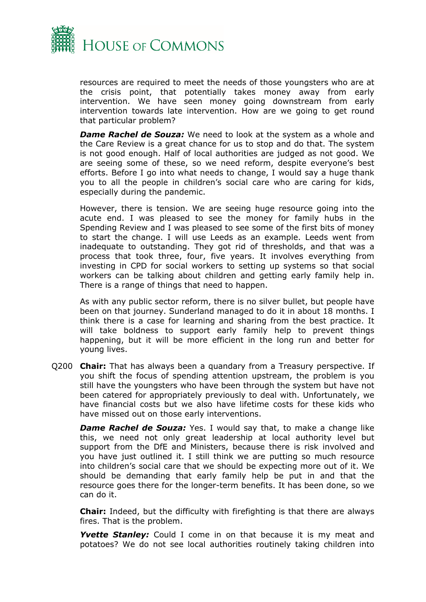

resources are required to meet the needs of those youngsters who are at the crisis point, that potentially takes money away from early intervention. We have seen money going downstream from early intervention towards late intervention. How are we going to get round that particular problem?

*Dame Rachel de Souza:* We need to look at the system as a whole and the Care Review is a great chance for us to stop and do that. The system is not good enough. Half of local authorities are judged as not good. We are seeing some of these, so we need reform, despite everyone's best efforts. Before I go into what needs to change, I would say a huge thank you to all the people in children's social care who are caring for kids, especially during the pandemic.

However, there is tension. We are seeing huge resource going into the acute end. I was pleased to see the money for family hubs in the Spending Review and I was pleased to see some of the first bits of money to start the change. I will use Leeds as an example. Leeds went from inadequate to outstanding. They got rid of thresholds, and that was a process that took three, four, five years. It involves everything from investing in CPD for social workers to setting up systems so that social workers can be talking about children and getting early family help in. There is a range of things that need to happen.

As with any public sector reform, there is no silver bullet, but people have been on that journey. Sunderland managed to do it in about 18 months. I think there is a case for learning and sharing from the best practice. It will take boldness to support early family help to prevent things happening, but it will be more efficient in the long run and better for young lives.

Q200 **Chair:** That has always been a quandary from a Treasury perspective. If you shift the focus of spending attention upstream, the problem is you still have the youngsters who have been through the system but have not been catered for appropriately previously to deal with. Unfortunately, we have financial costs but we also have lifetime costs for these kids who have missed out on those early interventions.

*Dame Rachel de Souza:* Yes. I would say that, to make a change like this, we need not only great leadership at local authority level but support from the DfE and Ministers, because there is risk involved and you have just outlined it. I still think we are putting so much resource into children's social care that we should be expecting more out of it. We should be demanding that early family help be put in and that the resource goes there for the longer-term benefits. It has been done, so we can do it.

**Chair:** Indeed, but the difficulty with firefighting is that there are always fires. That is the problem.

**Yvette Stanley:** Could I come in on that because it is my meat and potatoes? We do not see local authorities routinely taking children into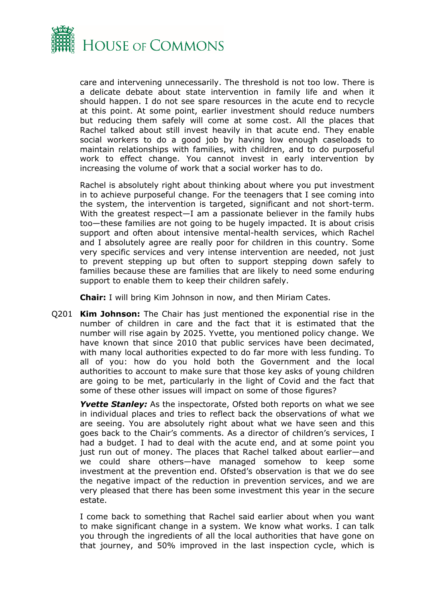

care and intervening unnecessarily. The threshold is not too low. There is a delicate debate about state intervention in family life and when it should happen. I do not see spare resources in the acute end to recycle at this point. At some point, earlier investment should reduce numbers but reducing them safely will come at some cost. All the places that Rachel talked about still invest heavily in that acute end. They enable social workers to do a good job by having low enough caseloads to maintain relationships with families, with children, and to do purposeful work to effect change. You cannot invest in early intervention by increasing the volume of work that a social worker has to do.

Rachel is absolutely right about thinking about where you put investment in to achieve purposeful change. For the teenagers that I see coming into the system, the intervention is targeted, significant and not short-term. With the greatest respect—I am a passionate believer in the family hubs too—these families are not going to be hugely impacted. It is about crisis support and often about intensive mental-health services, which Rachel and I absolutely agree are really poor for children in this country. Some very specific services and very intense intervention are needed, not just to prevent stepping up but often to support stepping down safely to families because these are families that are likely to need some enduring support to enable them to keep their children safely.

**Chair:** I will bring Kim Johnson in now, and then Miriam Cates.

Q201 **Kim Johnson:** The Chair has just mentioned the exponential rise in the number of children in care and the fact that it is estimated that the number will rise again by 2025. Yvette, you mentioned policy change. We have known that since 2010 that public services have been decimated, with many local authorities expected to do far more with less funding. To all of you: how do you hold both the Government and the local authorities to account to make sure that those key asks of young children are going to be met, particularly in the light of Covid and the fact that some of these other issues will impact on some of those figures?

*Yvette Stanley:* As the inspectorate, Ofsted both reports on what we see in individual places and tries to reflect back the observations of what we are seeing. You are absolutely right about what we have seen and this goes back to the Chair's comments. As a director of children's services, I had a budget. I had to deal with the acute end, and at some point you just run out of money. The places that Rachel talked about earlier—and we could share others—have managed somehow to keep some investment at the prevention end. Ofsted's observation is that we do see the negative impact of the reduction in prevention services, and we are very pleased that there has been some investment this year in the secure estate.

I come back to something that Rachel said earlier about when you want to make significant change in a system. We know what works. I can talk you through the ingredients of all the local authorities that have gone on that journey, and 50% improved in the last inspection cycle, which is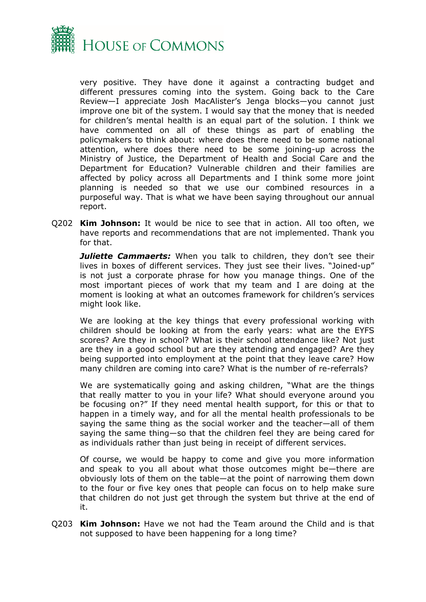

very positive. They have done it against a contracting budget and different pressures coming into the system. Going back to the Care Review—I appreciate Josh MacAlister's Jenga blocks—you cannot just improve one bit of the system. I would say that the money that is needed for children's mental health is an equal part of the solution. I think we have commented on all of these things as part of enabling the policymakers to think about: where does there need to be some national attention, where does there need to be some joining-up across the Ministry of Justice, the Department of Health and Social Care and the Department for Education? Vulnerable children and their families are affected by policy across all Departments and I think some more joint planning is needed so that we use our combined resources in a purposeful way. That is what we have been saying throughout our annual report.

Q202 **Kim Johnson:** It would be nice to see that in action. All too often, we have reports and recommendations that are not implemented. Thank you for that.

*Juliette Cammaerts:* When you talk to children, they don't see their lives in boxes of different services. They just see their lives. "Joined-up" is not just a corporate phrase for how you manage things. One of the most important pieces of work that my team and I are doing at the moment is looking at what an outcomes framework for children's services might look like.

We are looking at the key things that every professional working with children should be looking at from the early years: what are the EYFS scores? Are they in school? What is their school attendance like? Not just are they in a good school but are they attending and engaged? Are they being supported into employment at the point that they leave care? How many children are coming into care? What is the number of re-referrals?

We are systematically going and asking children, "What are the things that really matter to you in your life? What should everyone around you be focusing on?" If they need mental health support, for this or that to happen in a timely way, and for all the mental health professionals to be saying the same thing as the social worker and the teacher—all of them saying the same thing—so that the children feel they are being cared for as individuals rather than just being in receipt of different services.

Of course, we would be happy to come and give you more information and speak to you all about what those outcomes might be—there are obviously lots of them on the table—at the point of narrowing them down to the four or five key ones that people can focus on to help make sure that children do not just get through the system but thrive at the end of it.

Q203 **Kim Johnson:** Have we not had the Team around the Child and is that not supposed to have been happening for a long time?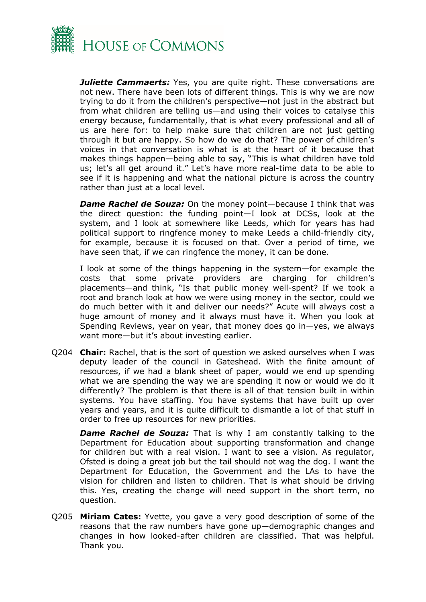

*Juliette Cammaerts:* Yes, you are quite right. These conversations are not new. There have been lots of different things. This is why we are now trying to do it from the children's perspective—not just in the abstract but from what children are telling us—and using their voices to catalyse this energy because, fundamentally, that is what every professional and all of us are here for: to help make sure that children are not just getting through it but are happy. So how do we do that? The power of children's voices in that conversation is what is at the heart of it because that makes things happen—being able to say, "This is what children have told us; let's all get around it." Let's have more real-time data to be able to see if it is happening and what the national picture is across the country rather than just at a local level.

*Dame Rachel de Souza:* On the money point—because I think that was the direct question: the funding point—I look at DCSs, look at the system, and I look at somewhere like Leeds, which for years has had political support to ringfence money to make Leeds a child-friendly city, for example, because it is focused on that. Over a period of time, we have seen that, if we can ringfence the money, it can be done.

I look at some of the things happening in the system—for example the costs that some private providers are charging for children's placements—and think, "Is that public money well-spent? If we took a root and branch look at how we were using money in the sector, could we do much better with it and deliver our needs?" Acute will always cost a huge amount of money and it always must have it. When you look at Spending Reviews, year on year, that money does go in—yes, we always want more—but it's about investing earlier.

Q204 **Chair:** Rachel, that is the sort of question we asked ourselves when I was deputy leader of the council in Gateshead. With the finite amount of resources, if we had a blank sheet of paper, would we end up spending what we are spending the way we are spending it now or would we do it differently? The problem is that there is all of that tension built in within systems. You have staffing. You have systems that have built up over years and years, and it is quite difficult to dismantle a lot of that stuff in order to free up resources for new priorities.

*Dame Rachel de Souza:* That is why I am constantly talking to the Department for Education about supporting transformation and change for children but with a real vision. I want to see a vision. As regulator, Ofsted is doing a great job but the tail should not wag the dog. I want the Department for Education, the Government and the LAs to have the vision for children and listen to children. That is what should be driving this. Yes, creating the change will need support in the short term, no question.

Q205 **Miriam Cates:** Yvette, you gave a very good description of some of the reasons that the raw numbers have gone up—demographic changes and changes in how looked-after children are classified. That was helpful. Thank you.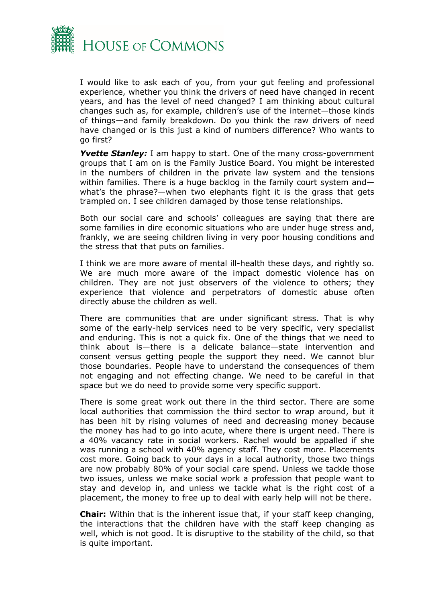

I would like to ask each of you, from your gut feeling and professional experience, whether you think the drivers of need have changed in recent years, and has the level of need changed? I am thinking about cultural changes such as, for example, children's use of the internet—those kinds of things—and family breakdown. Do you think the raw drivers of need have changed or is this just a kind of numbers difference? Who wants to go first?

*Yvette Stanley:* I am happy to start. One of the many cross-government groups that I am on is the Family Justice Board. You might be interested in the numbers of children in the private law system and the tensions within families. There is a huge backlog in the family court system and what's the phrase?—when two elephants fight it is the grass that gets trampled on. I see children damaged by those tense relationships.

Both our social care and schools' colleagues are saying that there are some families in dire economic situations who are under huge stress and, frankly, we are seeing children living in very poor housing conditions and the stress that that puts on families.

I think we are more aware of mental ill-health these days, and rightly so. We are much more aware of the impact domestic violence has on children. They are not just observers of the violence to others; they experience that violence and perpetrators of domestic abuse often directly abuse the children as well.

There are communities that are under significant stress. That is why some of the early-help services need to be very specific, very specialist and enduring. This is not a quick fix. One of the things that we need to think about is—there is a delicate balance—state intervention and consent versus getting people the support they need. We cannot blur those boundaries. People have to understand the consequences of them not engaging and not effecting change. We need to be careful in that space but we do need to provide some very specific support.

There is some great work out there in the third sector. There are some local authorities that commission the third sector to wrap around, but it has been hit by rising volumes of need and decreasing money because the money has had to go into acute, where there is urgent need. There is a 40% vacancy rate in social workers. Rachel would be appalled if she was running a school with 40% agency staff. They cost more. Placements cost more. Going back to your days in a local authority, those two things are now probably 80% of your social care spend. Unless we tackle those two issues, unless we make social work a profession that people want to stay and develop in, and unless we tackle what is the right cost of a placement, the money to free up to deal with early help will not be there.

**Chair:** Within that is the inherent issue that, if your staff keep changing, the interactions that the children have with the staff keep changing as well, which is not good. It is disruptive to the stability of the child, so that is quite important.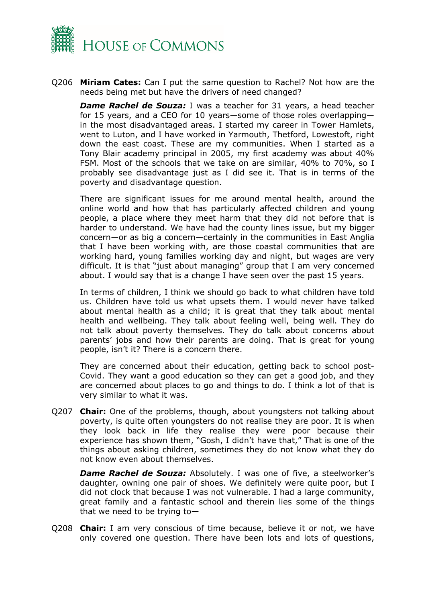

Q206 **Miriam Cates:** Can I put the same question to Rachel? Not how are the needs being met but have the drivers of need changed?

*Dame Rachel de Souza:* I was a teacher for 31 years, a head teacher for 15 years, and a CEO for 10 years—some of those roles overlapping in the most disadvantaged areas. I started my career in Tower Hamlets, went to Luton, and I have worked in Yarmouth, Thetford, Lowestoft, right down the east coast. These are my communities. When I started as a Tony Blair academy principal in 2005, my first academy was about 40% FSM. Most of the schools that we take on are similar, 40% to 70%, so I probably see disadvantage just as I did see it. That is in terms of the poverty and disadvantage question.

There are significant issues for me around mental health, around the online world and how that has particularly affected children and young people, a place where they meet harm that they did not before that is harder to understand. We have had the county lines issue, but my bigger concern—or as big a concern—certainly in the communities in East Anglia that I have been working with, are those coastal communities that are working hard, young families working day and night, but wages are very difficult. It is that "just about managing" group that I am very concerned about. I would say that is a change I have seen over the past 15 years.

In terms of children, I think we should go back to what children have told us. Children have told us what upsets them. I would never have talked about mental health as a child; it is great that they talk about mental health and wellbeing. They talk about feeling well, being well. They do not talk about poverty themselves. They do talk about concerns about parents' jobs and how their parents are doing. That is great for young people, isn't it? There is a concern there.

They are concerned about their education, getting back to school post-Covid. They want a good education so they can get a good job, and they are concerned about places to go and things to do. I think a lot of that is very similar to what it was.

Q207 **Chair:** One of the problems, though, about youngsters not talking about poverty, is quite often youngsters do not realise they are poor. It is when they look back in life they realise they were poor because their experience has shown them, "Gosh, I didn't have that," That is one of the things about asking children, sometimes they do not know what they do not know even about themselves.

*Dame Rachel de Souza:* Absolutely. I was one of five, a steelworker's daughter, owning one pair of shoes. We definitely were quite poor, but I did not clock that because I was not vulnerable. I had a large community, great family and a fantastic school and therein lies some of the things that we need to be trying to—

Q208 **Chair:** I am very conscious of time because, believe it or not, we have only covered one question. There have been lots and lots of questions,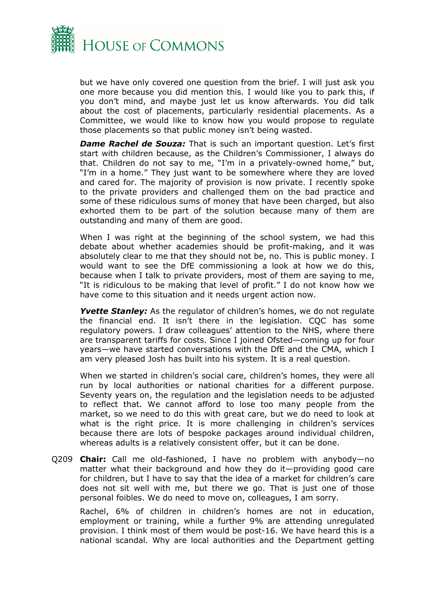

but we have only covered one question from the brief. I will just ask you one more because you did mention this. I would like you to park this, if you don't mind, and maybe just let us know afterwards. You did talk about the cost of placements, particularly residential placements. As a Committee, we would like to know how you would propose to regulate those placements so that public money isn't being wasted.

*Dame Rachel de Souza:* That is such an important question. Let's first start with children because, as the Children's Commissioner, I always do that. Children do not say to me, "I'm in a privately-owned home," but, "I'm in a home." They just want to be somewhere where they are loved and cared for. The majority of provision is now private. I recently spoke to the private providers and challenged them on the bad practice and some of these ridiculous sums of money that have been charged, but also exhorted them to be part of the solution because many of them are outstanding and many of them are good.

When I was right at the beginning of the school system, we had this debate about whether academies should be profit-making, and it was absolutely clear to me that they should not be, no. This is public money. I would want to see the DfE commissioning a look at how we do this, because when I talk to private providers, most of them are saying to me, "It is ridiculous to be making that level of profit." I do not know how we have come to this situation and it needs urgent action now.

*Yvette Stanley:* As the regulator of children's homes, we do not regulate the financial end. It isn't there in the legislation. CQC has some regulatory powers. I draw colleagues' attention to the NHS, where there are transparent tariffs for costs. Since I joined Ofsted—coming up for four years—we have started conversations with the DfE and the CMA, which I am very pleased Josh has built into his system. It is a real question.

When we started in children's social care, children's homes, they were all run by local authorities or national charities for a different purpose. Seventy years on, the regulation and the legislation needs to be adjusted to reflect that. We cannot afford to lose too many people from the market, so we need to do this with great care, but we do need to look at what is the right price. It is more challenging in children's services because there are lots of bespoke packages around individual children, whereas adults is a relatively consistent offer, but it can be done.

Q209 **Chair:** Call me old-fashioned, I have no problem with anybody—no matter what their background and how they do it—providing good care for children, but I have to say that the idea of a market for children's care does not sit well with me, but there we go. That is just one of those personal foibles. We do need to move on, colleagues, I am sorry.

Rachel, 6% of children in children's homes are not in education, employment or training, while a further 9% are attending unregulated provision. I think most of them would be post-16. We have heard this is a national scandal. Why are local authorities and the Department getting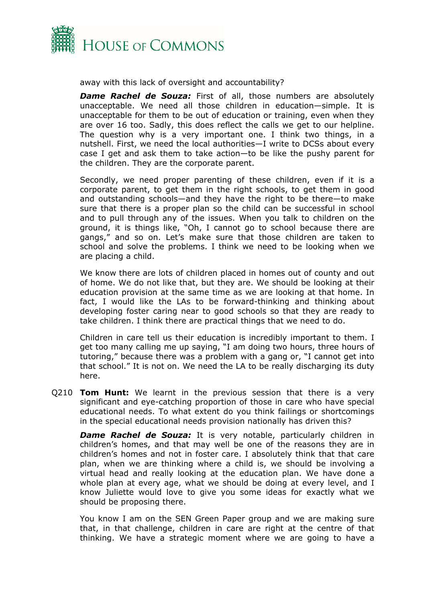

away with this lack of oversight and accountability?

*Dame Rachel de Souza:* First of all, those numbers are absolutely unacceptable. We need all those children in education—simple. It is unacceptable for them to be out of education or training, even when they are over 16 too. Sadly, this does reflect the calls we get to our helpline. The question why is a very important one. I think two things, in a nutshell. First, we need the local authorities—I write to DCSs about every case I get and ask them to take action—to be like the pushy parent for the children. They are the corporate parent.

Secondly, we need proper parenting of these children, even if it is a corporate parent, to get them in the right schools, to get them in good and outstanding schools—and they have the right to be there—to make sure that there is a proper plan so the child can be successful in school and to pull through any of the issues. When you talk to children on the ground, it is things like, "Oh, I cannot go to school because there are gangs," and so on. Let's make sure that those children are taken to school and solve the problems. I think we need to be looking when we are placing a child.

We know there are lots of children placed in homes out of county and out of home. We do not like that, but they are. We should be looking at their education provision at the same time as we are looking at that home. In fact, I would like the LAs to be forward-thinking and thinking about developing foster caring near to good schools so that they are ready to take children. I think there are practical things that we need to do.

Children in care tell us their education is incredibly important to them. I get too many calling me up saying, "I am doing two hours, three hours of tutoring," because there was a problem with a gang or, "I cannot get into that school." It is not on. We need the LA to be really discharging its duty here.

Q210 **Tom Hunt:** We learnt in the previous session that there is a very significant and eye-catching proportion of those in care who have special educational needs. To what extent do you think failings or shortcomings in the special educational needs provision nationally has driven this?

*Dame Rachel de Souza:* It is very notable, particularly children in children's homes, and that may well be one of the reasons they are in children's homes and not in foster care. I absolutely think that that care plan, when we are thinking where a child is, we should be involving a virtual head and really looking at the education plan. We have done a whole plan at every age, what we should be doing at every level, and I know Juliette would love to give you some ideas for exactly what we should be proposing there.

You know I am on the SEN Green Paper group and we are making sure that, in that challenge, children in care are right at the centre of that thinking. We have a strategic moment where we are going to have a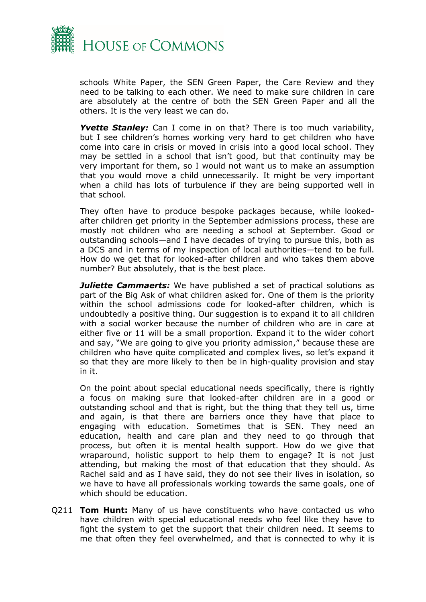

schools White Paper, the SEN Green Paper, the Care Review and they need to be talking to each other. We need to make sure children in care are absolutely at the centre of both the SEN Green Paper and all the others. It is the very least we can do.

*Yvette Stanley:* Can I come in on that? There is too much variability, but I see children's homes working very hard to get children who have come into care in crisis or moved in crisis into a good local school. They may be settled in a school that isn't good, but that continuity may be very important for them, so I would not want us to make an assumption that you would move a child unnecessarily. It might be very important when a child has lots of turbulence if they are being supported well in that school.

They often have to produce bespoke packages because, while lookedafter children get priority in the September admissions process, these are mostly not children who are needing a school at September. Good or outstanding schools—and I have decades of trying to pursue this, both as a DCS and in terms of my inspection of local authorities—tend to be full. How do we get that for looked-after children and who takes them above number? But absolutely, that is the best place.

*Juliette Cammaerts:* We have published a set of practical solutions as part of the Big Ask of what children asked for. One of them is the priority within the school admissions code for looked-after children, which is undoubtedly a positive thing. Our suggestion is to expand it to all children with a social worker because the number of children who are in care at either five or 11 will be a small proportion. Expand it to the wider cohort and say, "We are going to give you priority admission," because these are children who have quite complicated and complex lives, so let's expand it so that they are more likely to then be in high-quality provision and stay in it.

On the point about special educational needs specifically, there is rightly a focus on making sure that looked-after children are in a good or outstanding school and that is right, but the thing that they tell us, time and again, is that there are barriers once they have that place to engaging with education. Sometimes that is SEN. They need an education, health and care plan and they need to go through that process, but often it is mental health support. How do we give that wraparound, holistic support to help them to engage? It is not just attending, but making the most of that education that they should. As Rachel said and as I have said, they do not see their lives in isolation, so we have to have all professionals working towards the same goals, one of which should be education.

Q211 **Tom Hunt:** Many of us have constituents who have contacted us who have children with special educational needs who feel like they have to fight the system to get the support that their children need. It seems to me that often they feel overwhelmed, and that is connected to why it is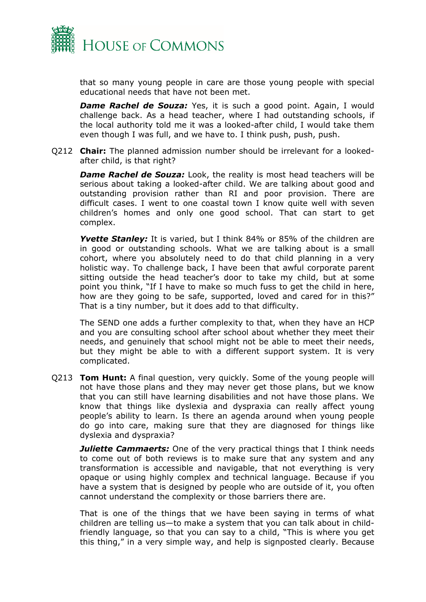

that so many young people in care are those young people with special educational needs that have not been met.

**Dame Rachel de Souza:** Yes, it is such a good point. Again, I would challenge back. As a head teacher, where I had outstanding schools, if the local authority told me it was a looked-after child, I would take them even though I was full, and we have to. I think push, push, push.

Q212 **Chair:** The planned admission number should be irrelevant for a lookedafter child, is that right?

**Dame Rachel de Souza:** Look, the reality is most head teachers will be serious about taking a looked-after child. We are talking about good and outstanding provision rather than RI and poor provision. There are difficult cases. I went to one coastal town I know quite well with seven children's homes and only one good school. That can start to get complex.

**Yvette Stanley:** It is varied, but I think 84% or 85% of the children are in good or outstanding schools. What we are talking about is a small cohort, where you absolutely need to do that child planning in a very holistic way. To challenge back, I have been that awful corporate parent sitting outside the head teacher's door to take my child, but at some point you think, "If I have to make so much fuss to get the child in here, how are they going to be safe, supported, loved and cared for in this?" That is a tiny number, but it does add to that difficulty.

The SEND one adds a further complexity to that, when they have an HCP and you are consulting school after school about whether they meet their needs, and genuinely that school might not be able to meet their needs, but they might be able to with a different support system. It is very complicated.

Q213 **Tom Hunt:** A final question, very quickly. Some of the young people will not have those plans and they may never get those plans, but we know that you can still have learning disabilities and not have those plans. We know that things like dyslexia and dyspraxia can really affect young people's ability to learn. Is there an agenda around when young people do go into care, making sure that they are diagnosed for things like dyslexia and dyspraxia?

*Juliette Cammaerts:* One of the very practical things that I think needs to come out of both reviews is to make sure that any system and any transformation is accessible and navigable, that not everything is very opaque or using highly complex and technical language. Because if you have a system that is designed by people who are outside of it, you often cannot understand the complexity or those barriers there are.

That is one of the things that we have been saying in terms of what children are telling us—to make a system that you can talk about in childfriendly language, so that you can say to a child, "This is where you get this thing," in a very simple way, and help is signposted clearly. Because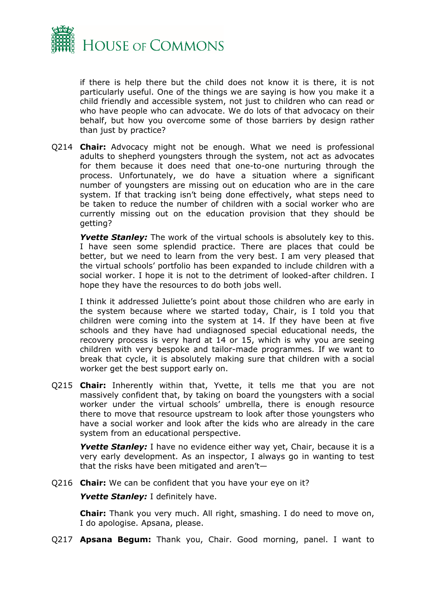

if there is help there but the child does not know it is there, it is not particularly useful. One of the things we are saying is how you make it a child friendly and accessible system, not just to children who can read or who have people who can advocate. We do lots of that advocacy on their behalf, but how you overcome some of those barriers by design rather than just by practice?

Q214 **Chair:** Advocacy might not be enough. What we need is professional adults to shepherd youngsters through the system, not act as advocates for them because it does need that one-to-one nurturing through the process. Unfortunately, we do have a situation where a significant number of youngsters are missing out on education who are in the care system. If that tracking isn't being done effectively, what steps need to be taken to reduce the number of children with a social worker who are currently missing out on the education provision that they should be getting?

**Yvette Stanley:** The work of the virtual schools is absolutely key to this. I have seen some splendid practice. There are places that could be better, but we need to learn from the very best. I am very pleased that the virtual schools' portfolio has been expanded to include children with a social worker. I hope it is not to the detriment of looked-after children. I hope they have the resources to do both jobs well.

I think it addressed Juliette's point about those children who are early in the system because where we started today, Chair, is I told you that children were coming into the system at 14. If they have been at five schools and they have had undiagnosed special educational needs, the recovery process is very hard at 14 or 15, which is why you are seeing children with very bespoke and tailor-made programmes. If we want to break that cycle, it is absolutely making sure that children with a social worker get the best support early on.

Q215 **Chair:** Inherently within that, Yvette, it tells me that you are not massively confident that, by taking on board the youngsters with a social worker under the virtual schools' umbrella, there is enough resource there to move that resource upstream to look after those youngsters who have a social worker and look after the kids who are already in the care system from an educational perspective.

**Yvette Stanley:** I have no evidence either way yet, Chair, because it is a very early development. As an inspector, I always go in wanting to test that the risks have been mitigated and aren't—

Q216 **Chair:** We can be confident that you have your eye on it?

**Yvette Stanley:** I definitely have.

**Chair:** Thank you very much. All right, smashing. I do need to move on, I do apologise. Apsana, please.

Q217 **Apsana Begum:** Thank you, Chair. Good morning, panel. I want to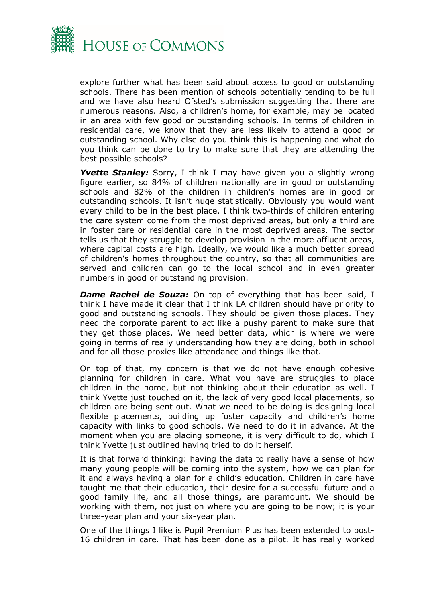

explore further what has been said about access to good or outstanding schools. There has been mention of schools potentially tending to be full and we have also heard Ofsted's submission suggesting that there are numerous reasons. Also, a children's home, for example, may be located in an area with few good or outstanding schools. In terms of children in residential care, we know that they are less likely to attend a good or outstanding school. Why else do you think this is happening and what do you think can be done to try to make sure that they are attending the best possible schools?

**Yvette Stanley:** Sorry, I think I may have given you a slightly wrong figure earlier, so 84% of children nationally are in good or outstanding schools and 82% of the children in children's homes are in good or outstanding schools. It isn't huge statistically. Obviously you would want every child to be in the best place. I think two-thirds of children entering the care system come from the most deprived areas, but only a third are in foster care or residential care in the most deprived areas. The sector tells us that they struggle to develop provision in the more affluent areas, where capital costs are high. Ideally, we would like a much better spread of children's homes throughout the country, so that all communities are served and children can go to the local school and in even greater numbers in good or outstanding provision.

*Dame Rachel de Souza:* On top of everything that has been said, I think I have made it clear that I think LA children should have priority to good and outstanding schools. They should be given those places. They need the corporate parent to act like a pushy parent to make sure that they get those places. We need better data, which is where we were going in terms of really understanding how they are doing, both in school and for all those proxies like attendance and things like that.

On top of that, my concern is that we do not have enough cohesive planning for children in care. What you have are struggles to place children in the home, but not thinking about their education as well. I think Yvette just touched on it, the lack of very good local placements, so children are being sent out. What we need to be doing is designing local flexible placements, building up foster capacity and children's home capacity with links to good schools. We need to do it in advance. At the moment when you are placing someone, it is very difficult to do, which I think Yvette just outlined having tried to do it herself.

It is that forward thinking: having the data to really have a sense of how many young people will be coming into the system, how we can plan for it and always having a plan for a child's education. Children in care have taught me that their education, their desire for a successful future and a good family life, and all those things, are paramount. We should be working with them, not just on where you are going to be now; it is your three-year plan and your six-year plan.

One of the things I like is Pupil Premium Plus has been extended to post-16 children in care. That has been done as a pilot. It has really worked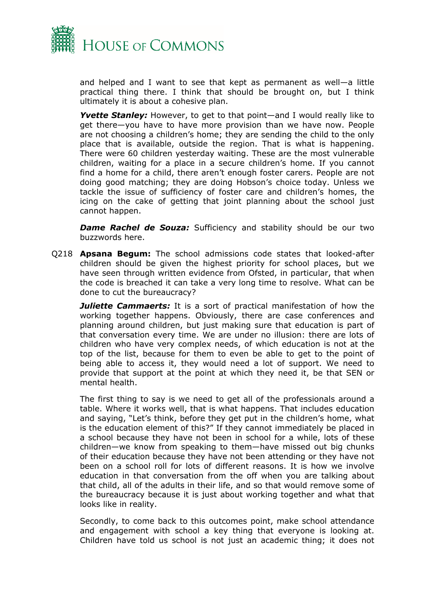

and helped and I want to see that kept as permanent as well—a little practical thing there. I think that should be brought on, but I think ultimately it is about a cohesive plan.

*Yvette Stanley:* However, to get to that point—and I would really like to get there—you have to have more provision than we have now. People are not choosing a children's home; they are sending the child to the only place that is available, outside the region. That is what is happening. There were 60 children yesterday waiting. These are the most vulnerable children, waiting for a place in a secure children's home. If you cannot find a home for a child, there aren't enough foster carers. People are not doing good matching; they are doing Hobson's choice today. Unless we tackle the issue of sufficiency of foster care and children's homes, the icing on the cake of getting that joint planning about the school just cannot happen.

**Dame Rachel de Souza:** Sufficiency and stability should be our two buzzwords here.

Q218 **Apsana Begum:** The school admissions code states that looked-after children should be given the highest priority for school places, but we have seen through written evidence from Ofsted, in particular, that when the code is breached it can take a very long time to resolve. What can be done to cut the bureaucracy?

*Juliette Cammaerts:* It is a sort of practical manifestation of how the working together happens. Obviously, there are case conferences and planning around children, but just making sure that education is part of that conversation every time. We are under no illusion: there are lots of children who have very complex needs, of which education is not at the top of the list, because for them to even be able to get to the point of being able to access it, they would need a lot of support. We need to provide that support at the point at which they need it, be that SEN or mental health.

The first thing to say is we need to get all of the professionals around a table. Where it works well, that is what happens. That includes education and saying, "Let's think, before they get put in the children's home, what is the education element of this?" If they cannot immediately be placed in a school because they have not been in school for a while, lots of these children—we know from speaking to them—have missed out big chunks of their education because they have not been attending or they have not been on a school roll for lots of different reasons. It is how we involve education in that conversation from the off when you are talking about that child, all of the adults in their life, and so that would remove some of the bureaucracy because it is just about working together and what that looks like in reality.

Secondly, to come back to this outcomes point, make school attendance and engagement with school a key thing that everyone is looking at. Children have told us school is not just an academic thing; it does not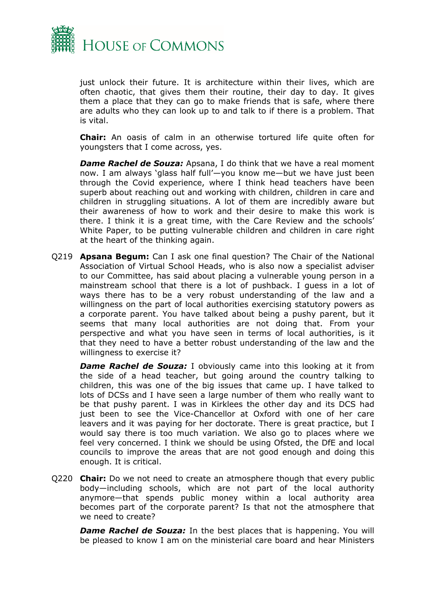

just unlock their future. It is architecture within their lives, which are often chaotic, that gives them their routine, their day to day. It gives them a place that they can go to make friends that is safe, where there are adults who they can look up to and talk to if there is a problem. That is vital.

**Chair:** An oasis of calm in an otherwise tortured life quite often for youngsters that I come across, yes.

*Dame Rachel de Souza:* Apsana, I do think that we have a real moment now. I am always 'glass half full'—you know me—but we have just been through the Covid experience, where I think head teachers have been superb about reaching out and working with children, children in care and children in struggling situations. A lot of them are incredibly aware but their awareness of how to work and their desire to make this work is there. I think it is a great time, with the Care Review and the schools' White Paper, to be putting vulnerable children and children in care right at the heart of the thinking again.

Q219 **Apsana Begum:** Can I ask one final question? The Chair of the National Association of Virtual School Heads, who is also now a specialist adviser to our Committee, has said about placing a vulnerable young person in a mainstream school that there is a lot of pushback. I guess in a lot of ways there has to be a very robust understanding of the law and a willingness on the part of local authorities exercising statutory powers as a corporate parent. You have talked about being a pushy parent, but it seems that many local authorities are not doing that. From your perspective and what you have seen in terms of local authorities, is it that they need to have a better robust understanding of the law and the willingness to exercise it?

*Dame Rachel de Souza:* I obviously came into this looking at it from the side of a head teacher, but going around the country talking to children, this was one of the big issues that came up. I have talked to lots of DCSs and I have seen a large number of them who really want to be that pushy parent. I was in Kirklees the other day and its DCS had just been to see the Vice-Chancellor at Oxford with one of her care leavers and it was paying for her doctorate. There is great practice, but I would say there is too much variation. We also go to places where we feel very concerned. I think we should be using Ofsted, the DfE and local councils to improve the areas that are not good enough and doing this enough. It is critical.

Q220 **Chair:** Do we not need to create an atmosphere though that every public body—including schools, which are not part of the local authority anymore—that spends public money within a local authority area becomes part of the corporate parent? Is that not the atmosphere that we need to create?

**Dame Rachel de Souza:** In the best places that is happening. You will be pleased to know I am on the ministerial care board and hear Ministers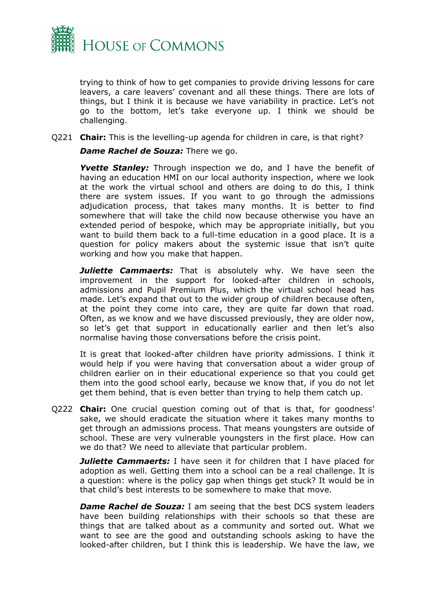

trying to think of how to get companies to provide driving lessons for care leavers, a care leavers' covenant and all these things. There are lots of things, but I think it is because we have variability in practice. Let's not go to the bottom, let's take everyone up. I think we should be challenging.

Q221 **Chair:** This is the levelling-up agenda for children in care, is that right?

*Dame Rachel de Souza:* There we go.

*Yvette Stanley:* Through inspection we do, and I have the benefit of having an education HMI on our local authority inspection, where we look at the work the virtual school and others are doing to do this, I think there are system issues. If you want to go through the admissions adjudication process, that takes many months. It is better to find somewhere that will take the child now because otherwise you have an extended period of bespoke, which may be appropriate initially, but you want to build them back to a full-time education in a good place. It is a question for policy makers about the systemic issue that isn't quite working and how you make that happen.

*Juliette Cammaerts:* That is absolutely why. We have seen the improvement in the support for looked-after children in schools, admissions and Pupil Premium Plus, which the virtual school head has made. Let's expand that out to the wider group of children because often, at the point they come into care, they are quite far down that road. Often, as we know and we have discussed previously, they are older now, so let's get that support in educationally earlier and then let's also normalise having those conversations before the crisis point.

It is great that looked-after children have priority admissions. I think it would help if you were having that conversation about a wider group of children earlier on in their educational experience so that you could get them into the good school early, because we know that, if you do not let get them behind, that is even better than trying to help them catch up.

Q222 **Chair:** One crucial question coming out of that is that, for goodness' sake, we should eradicate the situation where it takes many months to get through an admissions process. That means youngsters are outside of school. These are very vulnerable youngsters in the first place. How can we do that? We need to alleviate that particular problem.

*Juliette Cammaerts:* I have seen it for children that I have placed for adoption as well. Getting them into a school can be a real challenge. It is a question: where is the policy gap when things get stuck? It would be in that child's best interests to be somewhere to make that move.

*Dame Rachel de Souza: I am seeing that the best DCS system leaders* have been building relationships with their schools so that these are things that are talked about as a community and sorted out. What we want to see are the good and outstanding schools asking to have the looked-after children, but I think this is leadership. We have the law, we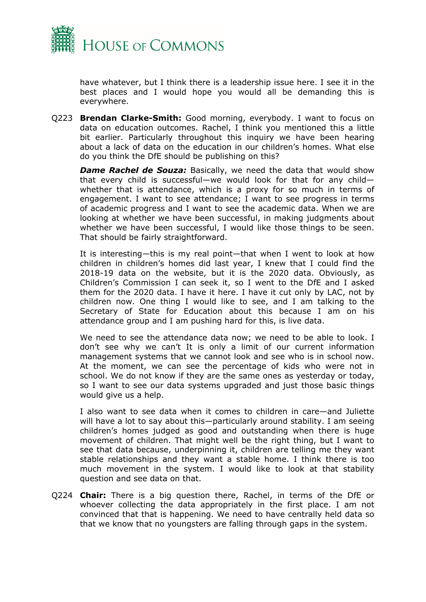

have whatever, but I think there is a leadership issue here. I see it in the best places and I would hope you would all be demanding this is everywhere.

Q223 **Brendan Clarke-Smith:** Good morning, everybody. I want to focus on data on education outcomes. Rachel, I think you mentioned this a little bit earlier. Particularly throughout this inquiry we have been hearing about a lack of data on the education in our children's homes. What else do you think the DfE should be publishing on this?

*Dame Rachel de Souza:* Basically, we need the data that would show that every child is successful—we would look for that for any child whether that is attendance, which is a proxy for so much in terms of engagement. I want to see attendance; I want to see progress in terms of academic progress and I want to see the academic data. When we are looking at whether we have been successful, in making judgments about whether we have been successful, I would like those things to be seen. That should be fairly straightforward.

It is interesting—this is my real point—that when I went to look at how children in children's homes did last year, I knew that I could find the 2018-19 data on the website, but it is the 2020 data. Obviously, as Children's Commission I can seek it, so I went to the DfE and I asked them for the 2020 data. I have it here. I have it cut only by LAC, not by children now. One thing I would like to see, and I am talking to the Secretary of State for Education about this because I am on his attendance group and I am pushing hard for this, is live data.

We need to see the attendance data now; we need to be able to look. I don't see why we can't It is only a limit of our current information management systems that we cannot look and see who is in school now. At the moment, we can see the percentage of kids who were not in school. We do not know if they are the same ones as yesterday or today, so I want to see our data systems upgraded and just those basic things would give us a help.

I also want to see data when it comes to children in care—and Juliette will have a lot to say about this—particularly around stability. I am seeing children's homes judged as good and outstanding when there is huge movement of children. That might well be the right thing, but I want to see that data because, underpinning it, children are telling me they want stable relationships and they want a stable home. I think there is too much movement in the system. I would like to look at that stability question and see data on that.

Q224 **Chair:** There is a big question there, Rachel, in terms of the DfE or whoever collecting the data appropriately in the first place. I am not convinced that that is happening. We need to have centrally held data so that we know that no youngsters are falling through gaps in the system.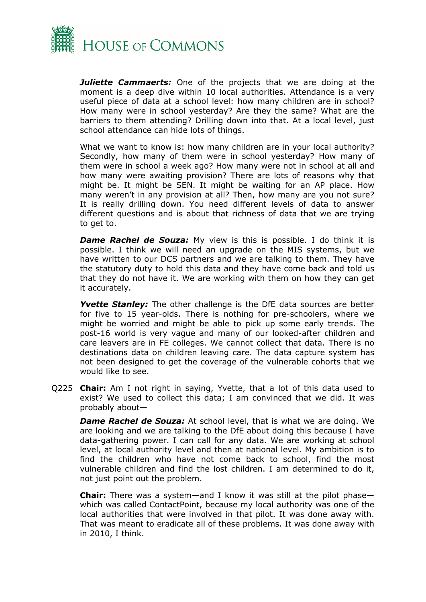

*Juliette Cammaerts:* One of the projects that we are doing at the moment is a deep dive within 10 local authorities. Attendance is a very useful piece of data at a school level: how many children are in school? How many were in school yesterday? Are they the same? What are the barriers to them attending? Drilling down into that. At a local level, just school attendance can hide lots of things.

What we want to know is: how many children are in your local authority? Secondly, how many of them were in school yesterday? How many of them were in school a week ago? How many were not in school at all and how many were awaiting provision? There are lots of reasons why that might be. It might be SEN. It might be waiting for an AP place. How many weren't in any provision at all? Then, how many are you not sure? It is really drilling down. You need different levels of data to answer different questions and is about that richness of data that we are trying to get to.

*Dame Rachel de Souza:* My view is this is possible. I do think it is possible. I think we will need an upgrade on the MIS systems, but we have written to our DCS partners and we are talking to them. They have the statutory duty to hold this data and they have come back and told us that they do not have it. We are working with them on how they can get it accurately.

*Yvette Stanley:* The other challenge is the DfE data sources are better for five to 15 year-olds. There is nothing for pre-schoolers, where we might be worried and might be able to pick up some early trends. The post-16 world is very vague and many of our looked-after children and care leavers are in FE colleges. We cannot collect that data. There is no destinations data on children leaving care. The data capture system has not been designed to get the coverage of the vulnerable cohorts that we would like to see.

Q225 **Chair:** Am I not right in saying, Yvette, that a lot of this data used to exist? We used to collect this data; I am convinced that we did. It was probably about—

*Dame Rachel de Souza:* At school level, that is what we are doing. We are looking and we are talking to the DfE about doing this because I have data-gathering power. I can call for any data. We are working at school level, at local authority level and then at national level. My ambition is to find the children who have not come back to school, find the most vulnerable children and find the lost children. I am determined to do it, not just point out the problem.

**Chair:** There was a system—and I know it was still at the pilot phase which was called ContactPoint, because my local authority was one of the local authorities that were involved in that pilot. It was done away with. That was meant to eradicate all of these problems. It was done away with in 2010, I think.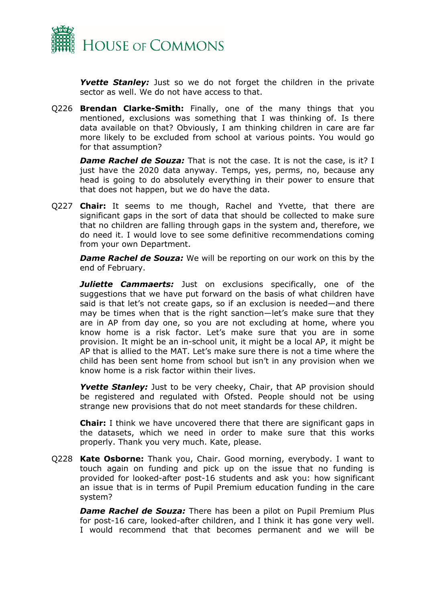

**Yvette Stanley:** Just so we do not forget the children in the private sector as well. We do not have access to that.

Q226 **Brendan Clarke-Smith:** Finally, one of the many things that you mentioned, exclusions was something that I was thinking of. Is there data available on that? Obviously, I am thinking children in care are far more likely to be excluded from school at various points. You would go for that assumption?

**Dame Rachel de Souza:** That is not the case. It is not the case, is it? I just have the 2020 data anyway. Temps, yes, perms, no, because any head is going to do absolutely everything in their power to ensure that that does not happen, but we do have the data.

Q227 **Chair:** It seems to me though, Rachel and Yvette, that there are significant gaps in the sort of data that should be collected to make sure that no children are falling through gaps in the system and, therefore, we do need it. I would love to see some definitive recommendations coming from your own Department.

*Dame Rachel de Souza:* We will be reporting on our work on this by the end of February.

*Juliette Cammaerts:* Just on exclusions specifically, one of the suggestions that we have put forward on the basis of what children have said is that let's not create gaps, so if an exclusion is needed—and there may be times when that is the right sanction—let's make sure that they are in AP from day one, so you are not excluding at home, where you know home is a risk factor. Let's make sure that you are in some provision. It might be an in-school unit, it might be a local AP, it might be AP that is allied to the MAT. Let's make sure there is not a time where the child has been sent home from school but isn't in any provision when we know home is a risk factor within their lives.

Yvette Stanley: Just to be very cheeky, Chair, that AP provision should be registered and regulated with Ofsted. People should not be using strange new provisions that do not meet standards for these children.

**Chair:** I think we have uncovered there that there are significant gaps in the datasets, which we need in order to make sure that this works properly. Thank you very much. Kate, please.

Q228 **Kate Osborne:** Thank you, Chair. Good morning, everybody. I want to touch again on funding and pick up on the issue that no funding is provided for looked-after post-16 students and ask you: how significant an issue that is in terms of Pupil Premium education funding in the care system?

*Dame Rachel de Souza:* There has been a pilot on Pupil Premium Plus for post-16 care, looked-after children, and I think it has gone very well. I would recommend that that becomes permanent and we will be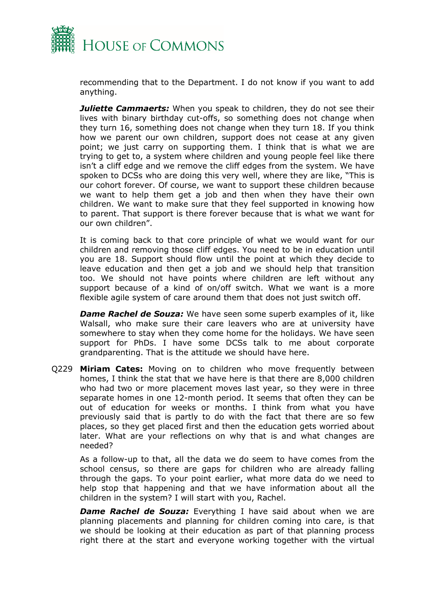

recommending that to the Department. I do not know if you want to add anything.

*Juliette Cammaerts:* When you speak to children, they do not see their lives with binary birthday cut-offs, so something does not change when they turn 16, something does not change when they turn 18. If you think how we parent our own children, support does not cease at any given point; we just carry on supporting them. I think that is what we are trying to get to, a system where children and young people feel like there isn't a cliff edge and we remove the cliff edges from the system. We have spoken to DCSs who are doing this very well, where they are like, "This is our cohort forever. Of course, we want to support these children because we want to help them get a job and then when they have their own children. We want to make sure that they feel supported in knowing how to parent. That support is there forever because that is what we want for our own children".

It is coming back to that core principle of what we would want for our children and removing those cliff edges. You need to be in education until you are 18. Support should flow until the point at which they decide to leave education and then get a job and we should help that transition too. We should not have points where children are left without any support because of a kind of on/off switch. What we want is a more flexible agile system of care around them that does not just switch off.

*Dame Rachel de Souza:* We have seen some superb examples of it, like Walsall, who make sure their care leavers who are at university have somewhere to stay when they come home for the holidays. We have seen support for PhDs. I have some DCSs talk to me about corporate grandparenting. That is the attitude we should have here.

Q229 **Miriam Cates:** Moving on to children who move frequently between homes, I think the stat that we have here is that there are 8,000 children who had two or more placement moves last year, so they were in three separate homes in one 12-month period. It seems that often they can be out of education for weeks or months. I think from what you have previously said that is partly to do with the fact that there are so few places, so they get placed first and then the education gets worried about later. What are your reflections on why that is and what changes are needed?

As a follow-up to that, all the data we do seem to have comes from the school census, so there are gaps for children who are already falling through the gaps. To your point earlier, what more data do we need to help stop that happening and that we have information about all the children in the system? I will start with you, Rachel.

*Dame Rachel de Souza:* Everything I have said about when we are planning placements and planning for children coming into care, is that we should be looking at their education as part of that planning process right there at the start and everyone working together with the virtual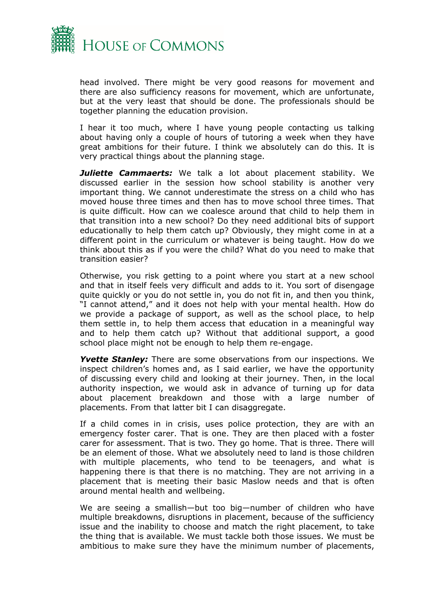

head involved. There might be very good reasons for movement and there are also sufficiency reasons for movement, which are unfortunate, but at the very least that should be done. The professionals should be together planning the education provision.

I hear it too much, where I have young people contacting us talking about having only a couple of hours of tutoring a week when they have great ambitions for their future. I think we absolutely can do this. It is very practical things about the planning stage.

*Juliette Cammaerts:* We talk a lot about placement stability. We discussed earlier in the session how school stability is another very important thing. We cannot underestimate the stress on a child who has moved house three times and then has to move school three times. That is quite difficult. How can we coalesce around that child to help them in that transition into a new school? Do they need additional bits of support educationally to help them catch up? Obviously, they might come in at a different point in the curriculum or whatever is being taught. How do we think about this as if you were the child? What do you need to make that transition easier?

Otherwise, you risk getting to a point where you start at a new school and that in itself feels very difficult and adds to it. You sort of disengage quite quickly or you do not settle in, you do not fit in, and then you think, "I cannot attend," and it does not help with your mental health. How do we provide a package of support, as well as the school place, to help them settle in, to help them access that education in a meaningful way and to help them catch up? Without that additional support, a good school place might not be enough to help them re-engage.

*Yvette Stanley:* There are some observations from our inspections. We inspect children's homes and, as I said earlier, we have the opportunity of discussing every child and looking at their journey. Then, in the local authority inspection, we would ask in advance of turning up for data about placement breakdown and those with a large number of placements. From that latter bit I can disaggregate.

If a child comes in in crisis, uses police protection, they are with an emergency foster carer. That is one. They are then placed with a foster carer for assessment. That is two. They go home. That is three. There will be an element of those. What we absolutely need to land is those children with multiple placements, who tend to be teenagers, and what is happening there is that there is no matching. They are not arriving in a placement that is meeting their basic Maslow needs and that is often around mental health and wellbeing.

We are seeing a smallish—but too big—number of children who have multiple breakdowns, disruptions in placement, because of the sufficiency issue and the inability to choose and match the right placement, to take the thing that is available. We must tackle both those issues. We must be ambitious to make sure they have the minimum number of placements,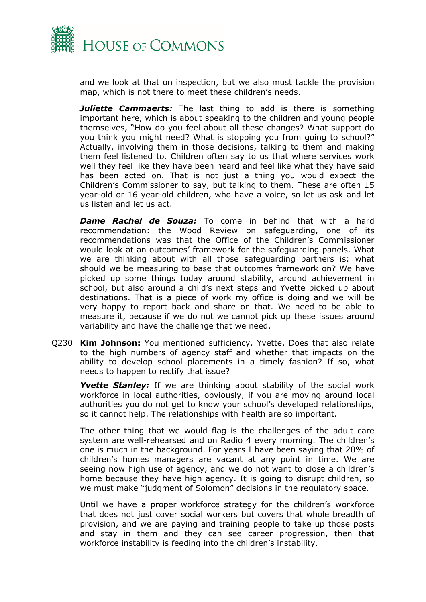

and we look at that on inspection, but we also must tackle the provision map, which is not there to meet these children's needs.

*Juliette Cammaerts:* The last thing to add is there is something important here, which is about speaking to the children and young people themselves, "How do you feel about all these changes? What support do you think you might need? What is stopping you from going to school?" Actually, involving them in those decisions, talking to them and making them feel listened to. Children often say to us that where services work well they feel like they have been heard and feel like what they have said has been acted on. That is not just a thing you would expect the Children's Commissioner to say, but talking to them. These are often 15 year-old or 16 year-old children, who have a voice, so let us ask and let us listen and let us act.

*Dame Rachel de Souza:* To come in behind that with a hard recommendation: the Wood Review on safeguarding, one of its recommendations was that the Office of the Children's Commissioner would look at an outcomes' framework for the safeguarding panels. What we are thinking about with all those safeguarding partners is: what should we be measuring to base that outcomes framework on? We have picked up some things today around stability, around achievement in school, but also around a child's next steps and Yvette picked up about destinations. That is a piece of work my office is doing and we will be very happy to report back and share on that. We need to be able to measure it, because if we do not we cannot pick up these issues around variability and have the challenge that we need.

Q230 **Kim Johnson:** You mentioned sufficiency, Yvette. Does that also relate to the high numbers of agency staff and whether that impacts on the ability to develop school placements in a timely fashion? If so, what needs to happen to rectify that issue?

**Yvette Stanley:** If we are thinking about stability of the social work workforce in local authorities, obviously, if you are moving around local authorities you do not get to know your school's developed relationships, so it cannot help. The relationships with health are so important.

The other thing that we would flag is the challenges of the adult care system are well-rehearsed and on Radio 4 every morning. The children's one is much in the background. For years I have been saying that 20% of children's homes managers are vacant at any point in time. We are seeing now high use of agency, and we do not want to close a children's home because they have high agency. It is going to disrupt children, so we must make "judgment of Solomon" decisions in the regulatory space.

Until we have a proper workforce strategy for the children's workforce that does not just cover social workers but covers that whole breadth of provision, and we are paying and training people to take up those posts and stay in them and they can see career progression, then that workforce instability is feeding into the children's instability.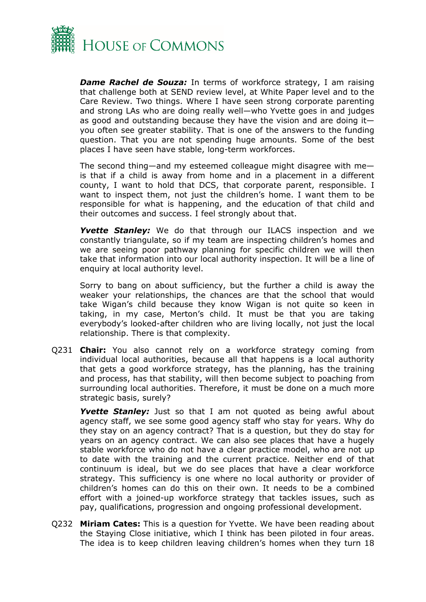

*Dame Rachel de Souza:* In terms of workforce strategy, I am raising that challenge both at SEND review level, at White Paper level and to the Care Review. Two things. Where I have seen strong corporate parenting and strong LAs who are doing really well—who Yvette goes in and judges as good and outstanding because they have the vision and are doing it you often see greater stability. That is one of the answers to the funding question. That you are not spending huge amounts. Some of the best places I have seen have stable, long-term workforces.

The second thing—and my esteemed colleague might disagree with me is that if a child is away from home and in a placement in a different county, I want to hold that DCS, that corporate parent, responsible. I want to inspect them, not just the children's home. I want them to be responsible for what is happening, and the education of that child and their outcomes and success. I feel strongly about that.

*Yvette Stanley:* We do that through our ILACS inspection and we constantly triangulate, so if my team are inspecting children's homes and we are seeing poor pathway planning for specific children we will then take that information into our local authority inspection. It will be a line of enquiry at local authority level.

Sorry to bang on about sufficiency, but the further a child is away the weaker your relationships, the chances are that the school that would take Wigan's child because they know Wigan is not quite so keen in taking, in my case, Merton's child. It must be that you are taking everybody's looked-after children who are living locally, not just the local relationship. There is that complexity.

Q231 **Chair:** You also cannot rely on a workforce strategy coming from individual local authorities, because all that happens is a local authority that gets a good workforce strategy, has the planning, has the training and process, has that stability, will then become subject to poaching from surrounding local authorities. Therefore, it must be done on a much more strategic basis, surely?

**Yvette Stanley:** Just so that I am not quoted as being awful about agency staff, we see some good agency staff who stay for years. Why do they stay on an agency contract? That is a question, but they do stay for years on an agency contract. We can also see places that have a hugely stable workforce who do not have a clear practice model, who are not up to date with the training and the current practice. Neither end of that continuum is ideal, but we do see places that have a clear workforce strategy. This sufficiency is one where no local authority or provider of children's homes can do this on their own. It needs to be a combined effort with a joined-up workforce strategy that tackles issues, such as pay, qualifications, progression and ongoing professional development.

Q232 **Miriam Cates:** This is a question for Yvette. We have been reading about the Staying Close initiative, which I think has been piloted in four areas. The idea is to keep children leaving children's homes when they turn 18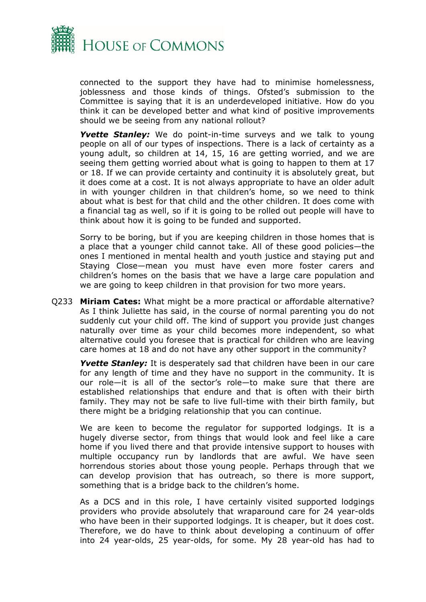

connected to the support they have had to minimise homelessness, joblessness and those kinds of things. Ofsted's submission to the Committee is saying that it is an underdeveloped initiative. How do you think it can be developed better and what kind of positive improvements should we be seeing from any national rollout?

**Yvette Stanley:** We do point-in-time surveys and we talk to young people on all of our types of inspections. There is a lack of certainty as a young adult, so children at 14, 15, 16 are getting worried, and we are seeing them getting worried about what is going to happen to them at 17 or 18. If we can provide certainty and continuity it is absolutely great, but it does come at a cost. It is not always appropriate to have an older adult in with younger children in that children's home, so we need to think about what is best for that child and the other children. It does come with a financial tag as well, so if it is going to be rolled out people will have to think about how it is going to be funded and supported.

Sorry to be boring, but if you are keeping children in those homes that is a place that a younger child cannot take. All of these good policies—the ones I mentioned in mental health and youth justice and staying put and Staying Close—mean you must have even more foster carers and children's homes on the basis that we have a large care population and we are going to keep children in that provision for two more years.

Q233 **Miriam Cates:** What might be a more practical or affordable alternative? As I think Juliette has said, in the course of normal parenting you do not suddenly cut your child off. The kind of support you provide just changes naturally over time as your child becomes more independent, so what alternative could you foresee that is practical for children who are leaving care homes at 18 and do not have any other support in the community?

*Yvette Stanley:* It is desperately sad that children have been in our care for any length of time and they have no support in the community. It is our role—it is all of the sector's role—to make sure that there are established relationships that endure and that is often with their birth family. They may not be safe to live full-time with their birth family, but there might be a bridging relationship that you can continue.

We are keen to become the regulator for supported lodgings. It is a hugely diverse sector, from things that would look and feel like a care home if you lived there and that provide intensive support to houses with multiple occupancy run by landlords that are awful. We have seen horrendous stories about those young people. Perhaps through that we can develop provision that has outreach, so there is more support, something that is a bridge back to the children's home.

As a DCS and in this role, I have certainly visited supported lodgings providers who provide absolutely that wraparound care for 24 year-olds who have been in their supported lodgings. It is cheaper, but it does cost. Therefore, we do have to think about developing a continuum of offer into 24 year-olds, 25 year-olds, for some. My 28 year-old has had to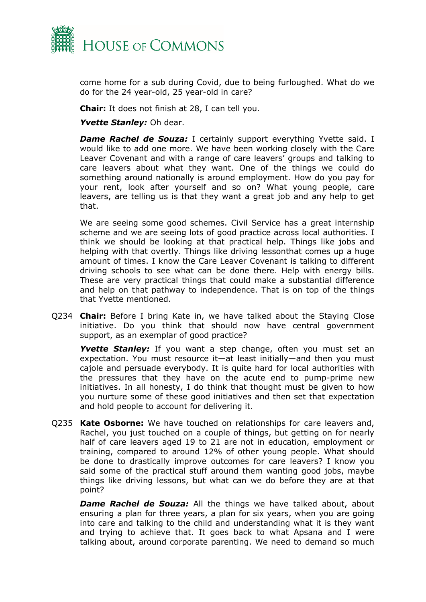

come home for a sub during Covid, due to being furloughed. What do we do for the 24 year-old, 25 year-old in care?

**Chair:** It does not finish at 28, I can tell you.

*Yvette Stanley:* Oh dear.

**Dame Rachel de Souza:** I certainly support everything Yvette said. I would like to add one more. We have been working closely with the Care Leaver Covenant and with a range of care leavers' groups and talking to care leavers about what they want. One of the things we could do something around nationally is around employment. How do you pay for your rent, look after yourself and so on? What young people, care leavers, are telling us is that they want a great job and any help to get that.

We are seeing some good schemes. Civil Service has a great internship scheme and we are seeing lots of good practice across local authorities. I think we should be looking at that practical help. Things like jobs and helping with that overtly. Things like driving lessonthat comes up a huge amount of times. I know the Care Leaver Covenant is talking to different driving schools to see what can be done there. Help with energy bills. These are very practical things that could make a substantial difference and help on that pathway to independence. That is on top of the things that Yvette mentioned.

Q234 **Chair:** Before I bring Kate in, we have talked about the Staying Close initiative. Do you think that should now have central government support, as an exemplar of good practice?

*Yvette Stanley:* If you want a step change, often you must set an expectation. You must resource it—at least initially—and then you must cajole and persuade everybody. It is quite hard for local authorities with the pressures that they have on the acute end to pump-prime new initiatives. In all honesty, I do think that thought must be given to how you nurture some of these good initiatives and then set that expectation and hold people to account for delivering it.

Q235 **Kate Osborne:** We have touched on relationships for care leavers and, Rachel, you just touched on a couple of things, but getting on for nearly half of care leavers aged 19 to 21 are not in education, employment or training, compared to around 12% of other young people. What should be done to drastically improve outcomes for care leavers? I know you said some of the practical stuff around them wanting good jobs, maybe things like driving lessons, but what can we do before they are at that point?

*Dame Rachel de Souza:* All the things we have talked about, about ensuring a plan for three years, a plan for six years, when you are going into care and talking to the child and understanding what it is they want and trying to achieve that. It goes back to what Apsana and I were talking about, around corporate parenting. We need to demand so much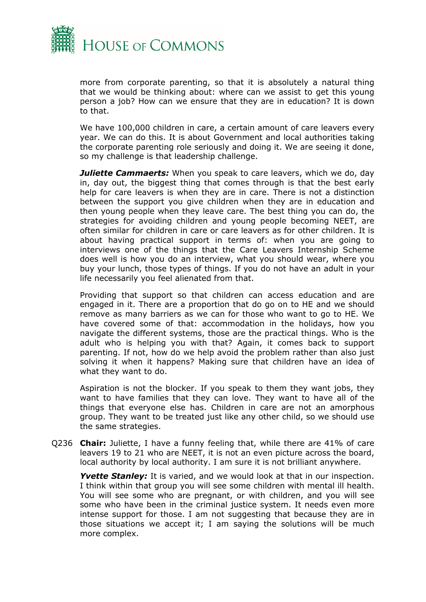

more from corporate parenting, so that it is absolutely a natural thing that we would be thinking about: where can we assist to get this young person a job? How can we ensure that they are in education? It is down to that.

We have 100,000 children in care, a certain amount of care leavers every year. We can do this. It is about Government and local authorities taking the corporate parenting role seriously and doing it. We are seeing it done, so my challenge is that leadership challenge.

*Juliette Cammaerts:* When you speak to care leavers, which we do, day in, day out, the biggest thing that comes through is that the best early help for care leavers is when they are in care. There is not a distinction between the support you give children when they are in education and then young people when they leave care. The best thing you can do, the strategies for avoiding children and young people becoming NEET, are often similar for children in care or care leavers as for other children. It is about having practical support in terms of: when you are going to interviews one of the things that the Care Leavers Internship Scheme does well is how you do an interview, what you should wear, where you buy your lunch, those types of things. If you do not have an adult in your life necessarily you feel alienated from that.

Providing that support so that children can access education and are engaged in it. There are a proportion that do go on to HE and we should remove as many barriers as we can for those who want to go to HE. We have covered some of that: accommodation in the holidays, how you navigate the different systems, those are the practical things. Who is the adult who is helping you with that? Again, it comes back to support parenting. If not, how do we help avoid the problem rather than also just solving it when it happens? Making sure that children have an idea of what they want to do.

Aspiration is not the blocker. If you speak to them they want jobs, they want to have families that they can love. They want to have all of the things that everyone else has. Children in care are not an amorphous group. They want to be treated just like any other child, so we should use the same strategies.

Q236 **Chair:** Juliette, I have a funny feeling that, while there are 41% of care leavers 19 to 21 who are NEET, it is not an even picture across the board, local authority by local authority. I am sure it is not brilliant anywhere.

*Yvette Stanley:* It is varied, and we would look at that in our inspection. I think within that group you will see some children with mental ill health. You will see some who are pregnant, or with children, and you will see some who have been in the criminal justice system. It needs even more intense support for those. I am not suggesting that because they are in those situations we accept it; I am saying the solutions will be much more complex.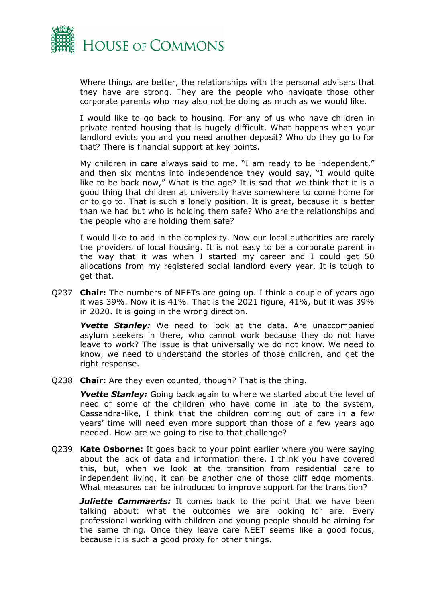

Where things are better, the relationships with the personal advisers that they have are strong. They are the people who navigate those other corporate parents who may also not be doing as much as we would like.

I would like to go back to housing. For any of us who have children in private rented housing that is hugely difficult. What happens when your landlord evicts you and you need another deposit? Who do they go to for that? There is financial support at key points.

My children in care always said to me, "I am ready to be independent," and then six months into independence they would say, "I would quite like to be back now," What is the age? It is sad that we think that it is a good thing that children at university have somewhere to come home for or to go to. That is such a lonely position. It is great, because it is better than we had but who is holding them safe? Who are the relationships and the people who are holding them safe?

I would like to add in the complexity. Now our local authorities are rarely the providers of local housing. It is not easy to be a corporate parent in the way that it was when I started my career and I could get 50 allocations from my registered social landlord every year. It is tough to get that.

Q237 **Chair:** The numbers of NEETs are going up. I think a couple of years ago it was 39%. Now it is 41%. That is the 2021 figure, 41%, but it was 39% in 2020. It is going in the wrong direction.

*Yvette Stanley:* We need to look at the data. Are unaccompanied asylum seekers in there, who cannot work because they do not have leave to work? The issue is that universally we do not know. We need to know, we need to understand the stories of those children, and get the right response.

Q238 **Chair:** Are they even counted, though? That is the thing.

**Yvette Stanley:** Going back again to where we started about the level of need of some of the children who have come in late to the system, Cassandra-like, I think that the children coming out of care in a few years' time will need even more support than those of a few years ago needed. How are we going to rise to that challenge?

Q239 **Kate Osborne:** It goes back to your point earlier where you were saying about the lack of data and information there. I think you have covered this, but, when we look at the transition from residential care to independent living, it can be another one of those cliff edge moments. What measures can be introduced to improve support for the transition?

*Juliette Cammaerts:* It comes back to the point that we have been talking about: what the outcomes we are looking for are. Every professional working with children and young people should be aiming for the same thing. Once they leave care NEET seems like a good focus, because it is such a good proxy for other things.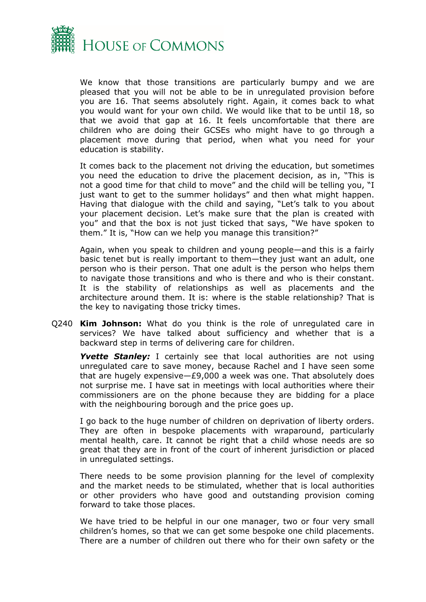

We know that those transitions are particularly bumpy and we are pleased that you will not be able to be in unregulated provision before you are 16. That seems absolutely right. Again, it comes back to what you would want for your own child. We would like that to be until 18, so that we avoid that gap at 16. It feels uncomfortable that there are children who are doing their GCSEs who might have to go through a placement move during that period, when what you need for your education is stability.

It comes back to the placement not driving the education, but sometimes you need the education to drive the placement decision, as in, "This is not a good time for that child to move" and the child will be telling you, "I just want to get to the summer holidays" and then what might happen. Having that dialogue with the child and saying, "Let's talk to you about your placement decision. Let's make sure that the plan is created with you" and that the box is not just ticked that says, "We have spoken to them." It is, "How can we help you manage this transition?"

Again, when you speak to children and young people—and this is a fairly basic tenet but is really important to them—they just want an adult, one person who is their person. That one adult is the person who helps them to navigate those transitions and who is there and who is their constant. It is the stability of relationships as well as placements and the architecture around them. It is: where is the stable relationship? That is the key to navigating those tricky times.

Q240 **Kim Johnson:** What do you think is the role of unregulated care in services? We have talked about sufficiency and whether that is a backward step in terms of delivering care for children.

*Yvette Stanley:* I certainly see that local authorities are not using unregulated care to save money, because Rachel and I have seen some that are hugely expensive—£9,000 a week was one. That absolutely does not surprise me. I have sat in meetings with local authorities where their commissioners are on the phone because they are bidding for a place with the neighbouring borough and the price goes up.

I go back to the huge number of children on deprivation of liberty orders. They are often in bespoke placements with wraparound, particularly mental health, care. It cannot be right that a child whose needs are so great that they are in front of the court of inherent jurisdiction or placed in unregulated settings.

There needs to be some provision planning for the level of complexity and the market needs to be stimulated, whether that is local authorities or other providers who have good and outstanding provision coming forward to take those places.

We have tried to be helpful in our one manager, two or four very small children's homes, so that we can get some bespoke one child placements. There are a number of children out there who for their own safety or the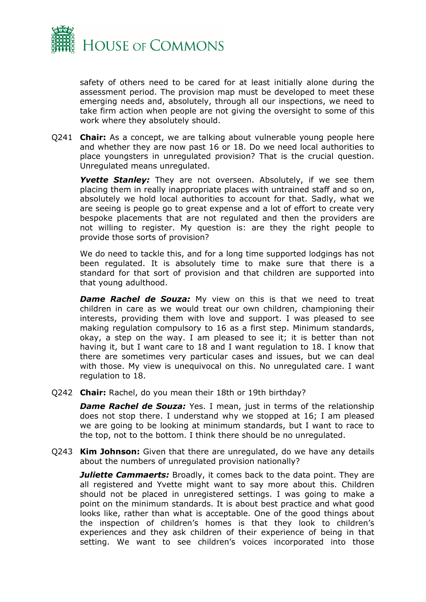

safety of others need to be cared for at least initially alone during the assessment period. The provision map must be developed to meet these emerging needs and, absolutely, through all our inspections, we need to take firm action when people are not giving the oversight to some of this work where they absolutely should.

Q241 **Chair:** As a concept, we are talking about vulnerable young people here and whether they are now past 16 or 18. Do we need local authorities to place youngsters in unregulated provision? That is the crucial question. Unregulated means unregulated.

*Yvette Stanley:* They are not overseen. Absolutely, if we see them placing them in really inappropriate places with untrained staff and so on, absolutely we hold local authorities to account for that. Sadly, what we are seeing is people go to great expense and a lot of effort to create very bespoke placements that are not regulated and then the providers are not willing to register. My question is: are they the right people to provide those sorts of provision?

We do need to tackle this, and for a long time supported lodgings has not been regulated. It is absolutely time to make sure that there is a standard for that sort of provision and that children are supported into that young adulthood.

*Dame Rachel de Souza:* My view on this is that we need to treat children in care as we would treat our own children, championing their interests, providing them with love and support. I was pleased to see making regulation compulsory to 16 as a first step. Minimum standards, okay, a step on the way. I am pleased to see it; it is better than not having it, but I want care to 18 and I want regulation to 18. I know that there are sometimes very particular cases and issues, but we can deal with those. My view is unequivocal on this. No unregulated care. I want regulation to 18.

Q242 **Chair:** Rachel, do you mean their 18th or 19th birthday?

**Dame Rachel de Souza:** Yes. I mean, just in terms of the relationship does not stop there. I understand why we stopped at 16; I am pleased we are going to be looking at minimum standards, but I want to race to the top, not to the bottom. I think there should be no unregulated.

Q243 **Kim Johnson:** Given that there are unregulated, do we have any details about the numbers of unregulated provision nationally?

*Juliette Cammaerts:* Broadly, it comes back to the data point. They are all registered and Yvette might want to say more about this. Children should not be placed in unregistered settings. I was going to make a point on the minimum standards. It is about best practice and what good looks like, rather than what is acceptable. One of the good things about the inspection of children's homes is that they look to children's experiences and they ask children of their experience of being in that setting. We want to see children's voices incorporated into those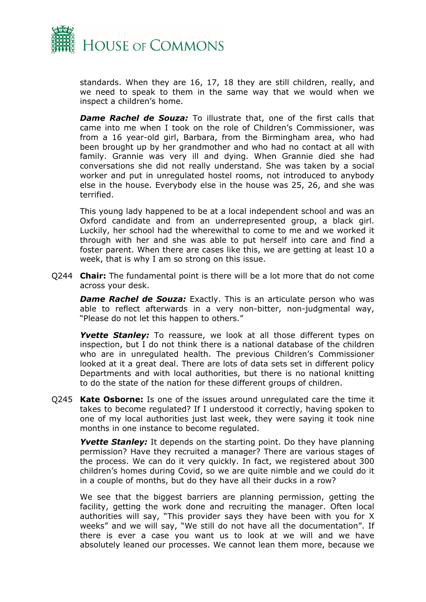

standards. When they are 16, 17, 18 they are still children, really, and we need to speak to them in the same way that we would when we inspect a children's home.

*Dame Rachel de Souza:* To illustrate that, one of the first calls that came into me when I took on the role of Children's Commissioner, was from a 16 year-old girl, Barbara, from the Birmingham area, who had been brought up by her grandmother and who had no contact at all with family. Grannie was very ill and dying. When Grannie died she had conversations she did not really understand. She was taken by a social worker and put in unregulated hostel rooms, not introduced to anybody else in the house. Everybody else in the house was 25, 26, and she was terrified.

This young lady happened to be at a local independent school and was an Oxford candidate and from an underrepresented group, a black girl. Luckily, her school had the wherewithal to come to me and we worked it through with her and she was able to put herself into care and find a foster parent. When there are cases like this, we are getting at least 10 a week, that is why I am so strong on this issue.

Q244 **Chair:** The fundamental point is there will be a lot more that do not come across your desk.

**Dame Rachel de Souza:** Exactly. This is an articulate person who was able to reflect afterwards in a very non-bitter, non-judgmental way, "Please do not let this happen to others."

**Yvette Stanley:** To reassure, we look at all those different types on inspection, but I do not think there is a national database of the children who are in unregulated health. The previous Children's Commissioner looked at it a great deal. There are lots of data sets set in different policy Departments and with local authorities, but there is no national knitting to do the state of the nation for these different groups of children.

Q245 **Kate Osborne:** Is one of the issues around unregulated care the time it takes to become regulated? If I understood it correctly, having spoken to one of my local authorities just last week, they were saying it took nine months in one instance to become regulated.

**Yvette Stanley:** It depends on the starting point. Do they have planning permission? Have they recruited a manager? There are various stages of the process. We can do it very quickly. In fact, we registered about 300 children's homes during Covid, so we are quite nimble and we could do it in a couple of months, but do they have all their ducks in a row?

We see that the biggest barriers are planning permission, getting the facility, getting the work done and recruiting the manager. Often local authorities will say, "This provider says they have been with you for X weeks" and we will say, "We still do not have all the documentation". If there is ever a case you want us to look at we will and we have absolutely leaned our processes. We cannot lean them more, because we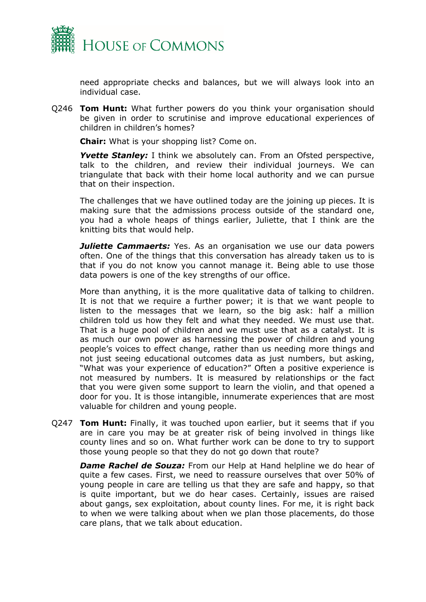

need appropriate checks and balances, but we will always look into an individual case.

Q246 **Tom Hunt:** What further powers do you think your organisation should be given in order to scrutinise and improve educational experiences of children in children's homes?

**Chair:** What is your shopping list? Come on.

**Yvette Stanley:** I think we absolutely can. From an Ofsted perspective, talk to the children, and review their individual journeys. We can triangulate that back with their home local authority and we can pursue that on their inspection.

The challenges that we have outlined today are the joining up pieces. It is making sure that the admissions process outside of the standard one, you had a whole heaps of things earlier, Juliette, that I think are the knitting bits that would help.

*Juliette Cammaerts:* Yes. As an organisation we use our data powers often. One of the things that this conversation has already taken us to is that if you do not know you cannot manage it. Being able to use those data powers is one of the key strengths of our office.

More than anything, it is the more qualitative data of talking to children. It is not that we require a further power; it is that we want people to listen to the messages that we learn, so the big ask: half a million children told us how they felt and what they needed. We must use that. That is a huge pool of children and we must use that as a catalyst. It is as much our own power as harnessing the power of children and young people's voices to effect change, rather than us needing more things and not just seeing educational outcomes data as just numbers, but asking, "What was your experience of education?" Often a positive experience is not measured by numbers. It is measured by relationships or the fact that you were given some support to learn the violin, and that opened a door for you. It is those intangible, innumerate experiences that are most valuable for children and young people.

Q247 **Tom Hunt:** Finally, it was touched upon earlier, but it seems that if you are in care you may be at greater risk of being involved in things like county lines and so on. What further work can be done to try to support those young people so that they do not go down that route?

*Dame Rachel de Souza:* From our Help at Hand helpline we do hear of quite a few cases. First, we need to reassure ourselves that over 50% of young people in care are telling us that they are safe and happy, so that is quite important, but we do hear cases. Certainly, issues are raised about gangs, sex exploitation, about county lines. For me, it is right back to when we were talking about when we plan those placements, do those care plans, that we talk about education.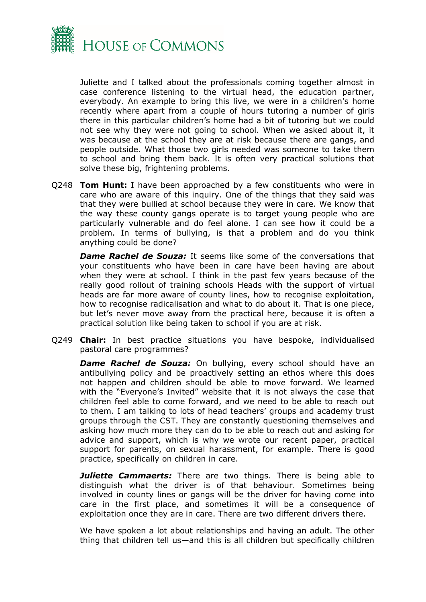

Juliette and I talked about the professionals coming together almost in case conference listening to the virtual head, the education partner, everybody. An example to bring this live, we were in a children's home recently where apart from a couple of hours tutoring a number of girls there in this particular children's home had a bit of tutoring but we could not see why they were not going to school. When we asked about it, it was because at the school they are at risk because there are gangs, and people outside. What those two girls needed was someone to take them to school and bring them back. It is often very practical solutions that solve these big, frightening problems.

Q248 **Tom Hunt:** I have been approached by a few constituents who were in care who are aware of this inquiry. One of the things that they said was that they were bullied at school because they were in care. We know that the way these county gangs operate is to target young people who are particularly vulnerable and do feel alone. I can see how it could be a problem. In terms of bullying, is that a problem and do you think anything could be done?

*Dame Rachel de Souza:* It seems like some of the conversations that your constituents who have been in care have been having are about when they were at school. I think in the past few years because of the really good rollout of training schools Heads with the support of virtual heads are far more aware of county lines, how to recognise exploitation, how to recognise radicalisation and what to do about it. That is one piece, but let's never move away from the practical here, because it is often a practical solution like being taken to school if you are at risk.

Q249 **Chair:** In best practice situations you have bespoke, individualised pastoral care programmes?

*Dame Rachel de Souza:* On bullying, every school should have an antibullying policy and be proactively setting an ethos where this does not happen and children should be able to move forward. We learned with the "Everyone's Invited" website that it is not always the case that children feel able to come forward, and we need to be able to reach out to them. I am talking to lots of head teachers' groups and academy trust groups through the CST. They are constantly questioning themselves and asking how much more they can do to be able to reach out and asking for advice and support, which is why we wrote our recent paper, practical support for parents, on sexual harassment, for example. There is good practice, specifically on children in care.

*Juliette Cammaerts:* There are two things. There is being able to distinguish what the driver is of that behaviour. Sometimes being involved in county lines or gangs will be the driver for having come into care in the first place, and sometimes it will be a consequence of exploitation once they are in care. There are two different drivers there.

We have spoken a lot about relationships and having an adult. The other thing that children tell us—and this is all children but specifically children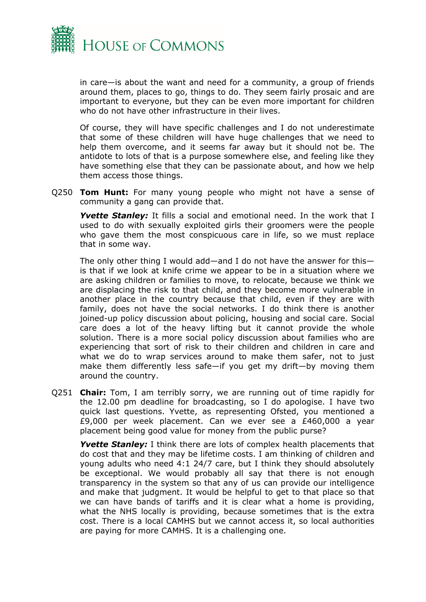

in care—is about the want and need for a community, a group of friends around them, places to go, things to do. They seem fairly prosaic and are important to everyone, but they can be even more important for children who do not have other infrastructure in their lives.

Of course, they will have specific challenges and I do not underestimate that some of these children will have huge challenges that we need to help them overcome, and it seems far away but it should not be. The antidote to lots of that is a purpose somewhere else, and feeling like they have something else that they can be passionate about, and how we help them access those things.

Q250 **Tom Hunt:** For many young people who might not have a sense of community a gang can provide that.

**Yvette Stanley:** It fills a social and emotional need. In the work that I used to do with sexually exploited girls their groomers were the people who gave them the most conspicuous care in life, so we must replace that in some way.

The only other thing I would add—and I do not have the answer for this is that if we look at knife crime we appear to be in a situation where we are asking children or families to move, to relocate, because we think we are displacing the risk to that child, and they become more vulnerable in another place in the country because that child, even if they are with family, does not have the social networks. I do think there is another joined-up policy discussion about policing, housing and social care. Social care does a lot of the heavy lifting but it cannot provide the whole solution. There is a more social policy discussion about families who are experiencing that sort of risk to their children and children in care and what we do to wrap services around to make them safer, not to just make them differently less safe—if you get my drift—by moving them around the country.

Q251 **Chair:** Tom, I am terribly sorry, we are running out of time rapidly for the 12.00 pm deadline for broadcasting, so I do apologise. I have two quick last questions. Yvette, as representing Ofsted, you mentioned a £9,000 per week placement. Can we ever see a £460,000 a year placement being good value for money from the public purse?

**Yvette Stanley:** I think there are lots of complex health placements that do cost that and they may be lifetime costs. I am thinking of children and young adults who need 4:1 24/7 care, but I think they should absolutely be exceptional. We would probably all say that there is not enough transparency in the system so that any of us can provide our intelligence and make that judgment. It would be helpful to get to that place so that we can have bands of tariffs and it is clear what a home is providing, what the NHS locally is providing, because sometimes that is the extra cost. There is a local CAMHS but we cannot access it, so local authorities are paying for more CAMHS. It is a challenging one.